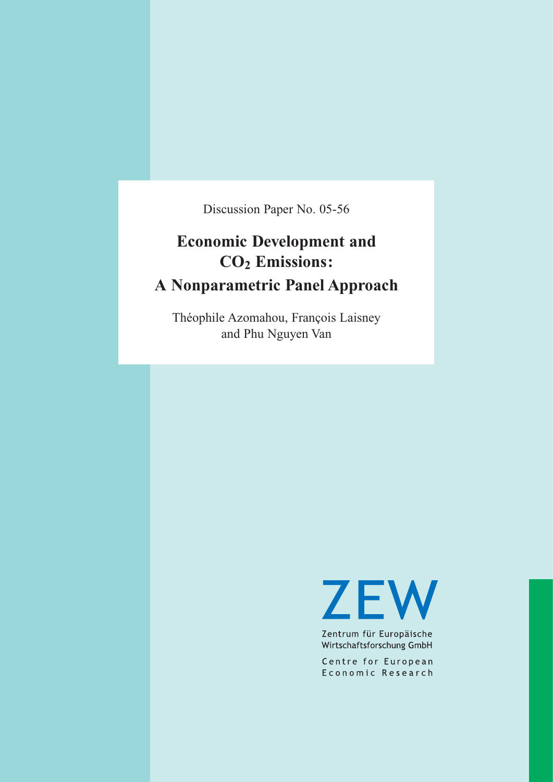Discussion Paper No. 05-56

# **Economic Development and CO2 Emissions: A Nonparametric Panel Approach**

Théophile Azomahou, François Laisney and Phu Nguyen Van

**ZEW** 

Zentrum für Europäische Wirtschaftsforschung GmbH

Centre for European Economic Research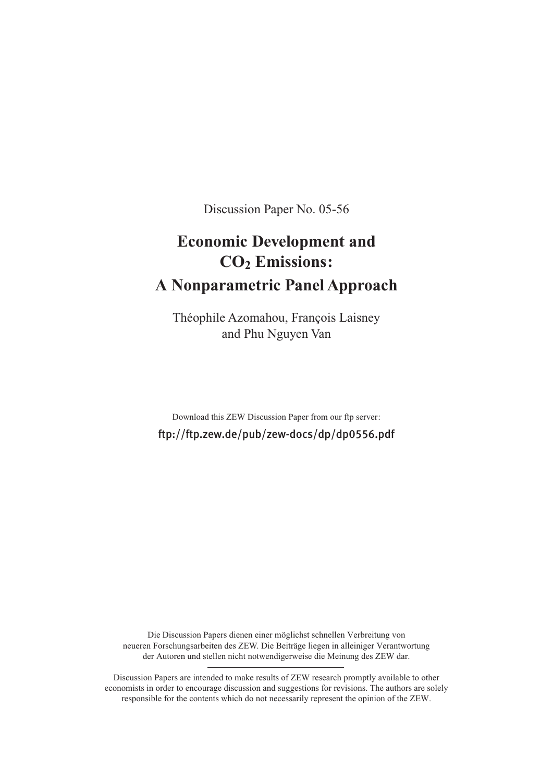Discussion Paper No. 05-56

## **Economic Development and CO2 Emissions: A Nonparametric Panel Approach**

Théophile Azomahou, François Laisney and Phu Nguyen Van

Download this ZEW Discussion Paper from our ftp server: ftp://ftp.zew.de/pub/zew-docs/dp/dp0556.pdf

Die Discussion Papers dienen einer möglichst schnellen Verbreitung von neueren Forschungsarbeiten des ZEW. Die Beiträge liegen in alleiniger Verantwortung der Autoren und stellen nicht notwendigerweise die Meinung des ZEW dar.

Discussion Papers are intended to make results of ZEW research promptly available to other economists in order to encourage discussion and suggestions for revisions. The authors are solely responsible for the contents which do not necessarily represent the opinion of the ZEW.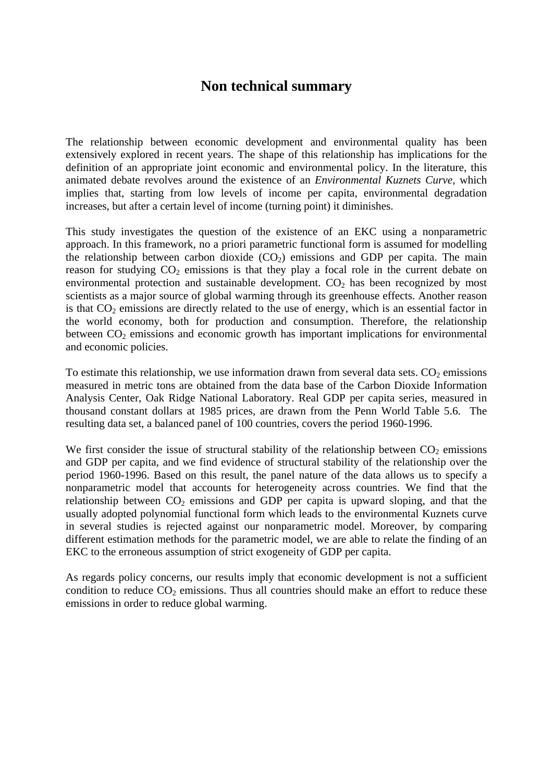## **Non technical summary**

The relationship between economic development and environmental quality has been extensively explored in recent years. The shape of this relationship has implications for the definition of an appropriate joint economic and environmental policy. In the literature, this animated debate revolves around the existence of an *Environmental Kuznets Curve*, which implies that, starting from low levels of income per capita, environmental degradation increases, but after a certain level of income (turning point) it diminishes.

This study investigates the question of the existence of an EKC using a nonparametric approach. In this framework, no a priori parametric functional form is assumed for modelling the relationship between carbon dioxide  $(CO<sub>2</sub>)$  emissions and GDP per capita. The main reason for studying  $CO_2$  emissions is that they play a focal role in the current debate on environmental protection and sustainable development.  $CO<sub>2</sub>$  has been recognized by most scientists as a major source of global warming through its greenhouse effects. Another reason is that  $CO<sub>2</sub>$  emissions are directly related to the use of energy, which is an essential factor in the world economy, both for production and consumption. Therefore, the relationship between  $CO<sub>2</sub>$  emissions and economic growth has important implications for environmental and economic policies.

To estimate this relationship, we use information drawn from several data sets.  $CO<sub>2</sub>$  emissions measured in metric tons are obtained from the data base of the Carbon Dioxide Information Analysis Center, Oak Ridge National Laboratory. Real GDP per capita series, measured in thousand constant dollars at 1985 prices, are drawn from the Penn World Table 5.6. The resulting data set, a balanced panel of 100 countries, covers the period 1960-1996.

We first consider the issue of structural stability of the relationship between  $CO<sub>2</sub>$  emissions and GDP per capita, and we find evidence of structural stability of the relationship over the period 1960-1996. Based on this result, the panel nature of the data allows us to specify a nonparametric model that accounts for heterogeneity across countries. We find that the relationship between  $CO<sub>2</sub>$  emissions and GDP per capita is upward sloping, and that the usually adopted polynomial functional form which leads to the environmental Kuznets curve in several studies is rejected against our nonparametric model. Moreover, by comparing different estimation methods for the parametric model, we are able to relate the finding of an EKC to the erroneous assumption of strict exogeneity of GDP per capita.

As regards policy concerns, our results imply that economic development is not a sufficient condition to reduce  $CO_2$  emissions. Thus all countries should make an effort to reduce these emissions in order to reduce global warming.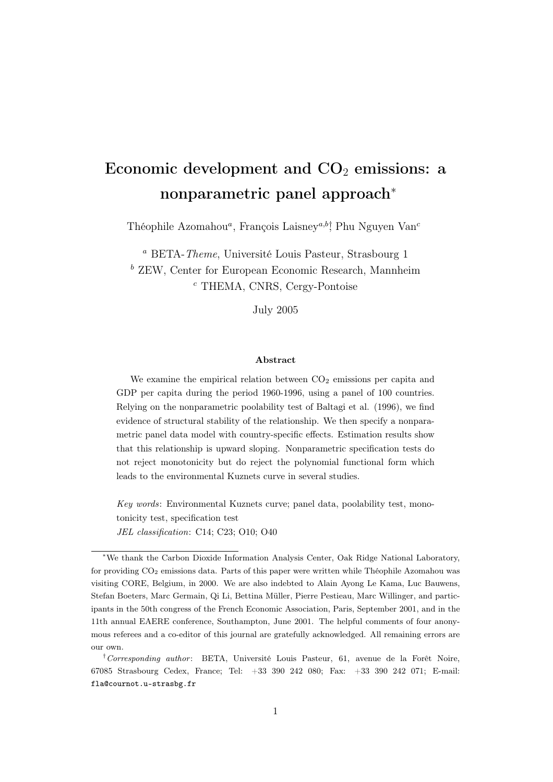# Economic development and  $CO<sub>2</sub>$  emissions: a nonparametric panel approach<sup>∗</sup>

Théophile Azomahou<sup>a</sup>, François Laisney<sup>a,b†</sup> Phu Nguyen Van<sup>c</sup>

<sup>a</sup> BETA-Theme, Université Louis Pasteur, Strasbourg 1 <sup>b</sup> ZEW, Center for European Economic Research, Mannheim <sup>c</sup> THEMA, CNRS, Cergy-Pontoise

July 2005

#### Abstract

We examine the empirical relation between  $CO<sub>2</sub>$  emissions per capita and GDP per capita during the period 1960-1996, using a panel of 100 countries. Relying on the nonparametric poolability test of Baltagi et al. (1996), we find evidence of structural stability of the relationship. We then specify a nonparametric panel data model with country-specific effects. Estimation results show that this relationship is upward sloping. Nonparametric specification tests do not reject monotonicity but do reject the polynomial functional form which leads to the environmental Kuznets curve in several studies.

Key words: Environmental Kuznets curve; panel data, poolability test, monotonicity test, specification test JEL classification: C14; C23; O10; O40

<sup>∗</sup>We thank the Carbon Dioxide Information Analysis Center, Oak Ridge National Laboratory, for providing CO<sub>2</sub> emissions data. Parts of this paper were written while Théophile Azomahou was visiting CORE, Belgium, in 2000. We are also indebted to Alain Ayong Le Kama, Luc Bauwens, Stefan Boeters, Marc Germain, Qi Li, Bettina Müller, Pierre Pestieau, Marc Willinger, and participants in the 50th congress of the French Economic Association, Paris, September 2001, and in the 11th annual EAERE conference, Southampton, June 2001. The helpful comments of four anonymous referees and a co-editor of this journal are gratefully acknowledged. All remaining errors are our own.

<sup>†</sup>Corresponding author: BETA, Université Louis Pasteur, 61, avenue de la Forêt Noire, 67085 Strasbourg Cedex, France; Tel: +33 390 242 080; Fax: +33 390 242 071; E-mail: fla@cournot.u-strasbg.fr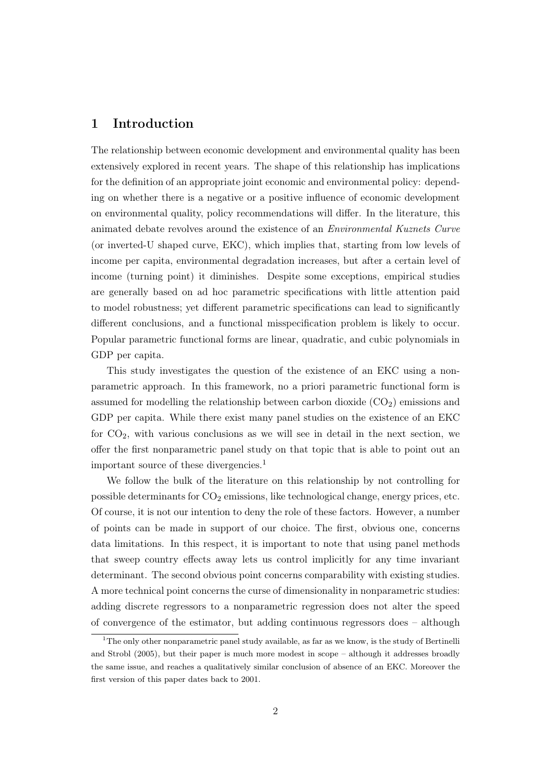## 1 Introduction

The relationship between economic development and environmental quality has been extensively explored in recent years. The shape of this relationship has implications for the definition of an appropriate joint economic and environmental policy: depending on whether there is a negative or a positive influence of economic development on environmental quality, policy recommendations will differ. In the literature, this animated debate revolves around the existence of an Environmental Kuznets Curve (or inverted-U shaped curve, EKC), which implies that, starting from low levels of income per capita, environmental degradation increases, but after a certain level of income (turning point) it diminishes. Despite some exceptions, empirical studies are generally based on ad hoc parametric specifications with little attention paid to model robustness; yet different parametric specifications can lead to significantly different conclusions, and a functional misspecification problem is likely to occur. Popular parametric functional forms are linear, quadratic, and cubic polynomials in GDP per capita.

This study investigates the question of the existence of an EKC using a nonparametric approach. In this framework, no a priori parametric functional form is assumed for modelling the relationship between carbon dioxide  $(CO<sub>2</sub>)$  emissions and GDP per capita. While there exist many panel studies on the existence of an EKC for  $CO<sub>2</sub>$ , with various conclusions as we will see in detail in the next section, we offer the first nonparametric panel study on that topic that is able to point out an important source of these divergencies.<sup>1</sup>

We follow the bulk of the literature on this relationship by not controlling for possible determinants for  $CO<sub>2</sub>$  emissions, like technological change, energy prices, etc. Of course, it is not our intention to deny the role of these factors. However, a number of points can be made in support of our choice. The first, obvious one, concerns data limitations. In this respect, it is important to note that using panel methods that sweep country effects away lets us control implicitly for any time invariant determinant. The second obvious point concerns comparability with existing studies. A more technical point concerns the curse of dimensionality in nonparametric studies: adding discrete regressors to a nonparametric regression does not alter the speed of convergence of the estimator, but adding continuous regressors does – although

<sup>&</sup>lt;sup>1</sup>The only other nonparametric panel study available, as far as we know, is the study of Bertinelli and Strobl (2005), but their paper is much more modest in scope – although it addresses broadly the same issue, and reaches a qualitatively similar conclusion of absence of an EKC. Moreover the first version of this paper dates back to 2001.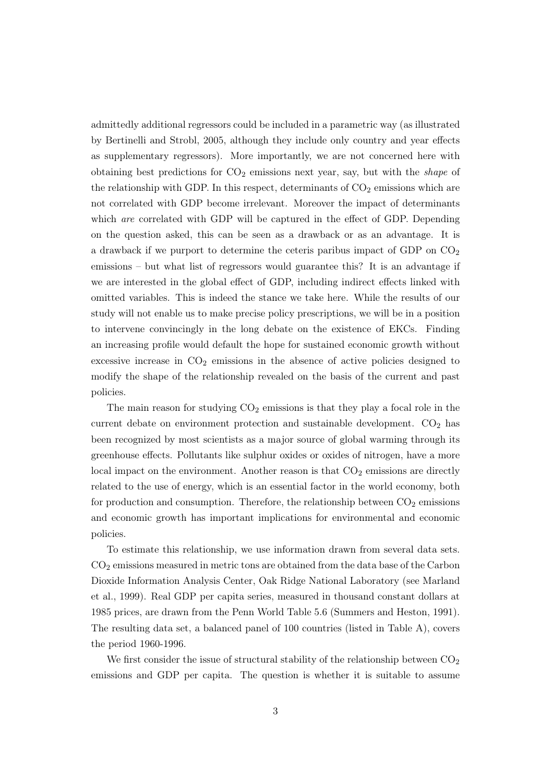admittedly additional regressors could be included in a parametric way (as illustrated by Bertinelli and Strobl, 2005, although they include only country and year effects as supplementary regressors). More importantly, we are not concerned here with obtaining best predictions for  $CO<sub>2</sub>$  emissions next year, say, but with the *shape* of the relationship with GDP. In this respect, determinants of  $CO<sub>2</sub>$  emissions which are not correlated with GDP become irrelevant. Moreover the impact of determinants which are correlated with GDP will be captured in the effect of GDP. Depending on the question asked, this can be seen as a drawback or as an advantage. It is a drawback if we purport to determine the ceteris paribus impact of GDP on  $CO<sub>2</sub>$ emissions – but what list of regressors would guarantee this? It is an advantage if we are interested in the global effect of GDP, including indirect effects linked with omitted variables. This is indeed the stance we take here. While the results of our study will not enable us to make precise policy prescriptions, we will be in a position to intervene convincingly in the long debate on the existence of EKCs. Finding an increasing profile would default the hope for sustained economic growth without excessive increase in  $CO<sub>2</sub>$  emissions in the absence of active policies designed to modify the shape of the relationship revealed on the basis of the current and past policies.

The main reason for studying  $CO<sub>2</sub>$  emissions is that they play a focal role in the current debate on environment protection and sustainable development.  $CO<sub>2</sub>$  has been recognized by most scientists as a major source of global warming through its greenhouse effects. Pollutants like sulphur oxides or oxides of nitrogen, have a more local impact on the environment. Another reason is that  $CO<sub>2</sub>$  emissions are directly related to the use of energy, which is an essential factor in the world economy, both for production and consumption. Therefore, the relationship between  $CO<sub>2</sub>$  emissions and economic growth has important implications for environmental and economic policies.

To estimate this relationship, we use information drawn from several data sets. CO<sup>2</sup> emissions measured in metric tons are obtained from the data base of the Carbon Dioxide Information Analysis Center, Oak Ridge National Laboratory (see Marland et al., 1999). Real GDP per capita series, measured in thousand constant dollars at 1985 prices, are drawn from the Penn World Table 5.6 (Summers and Heston, 1991). The resulting data set, a balanced panel of 100 countries (listed in Table A), covers the period 1960-1996.

We first consider the issue of structural stability of the relationship between  $CO<sub>2</sub>$ emissions and GDP per capita. The question is whether it is suitable to assume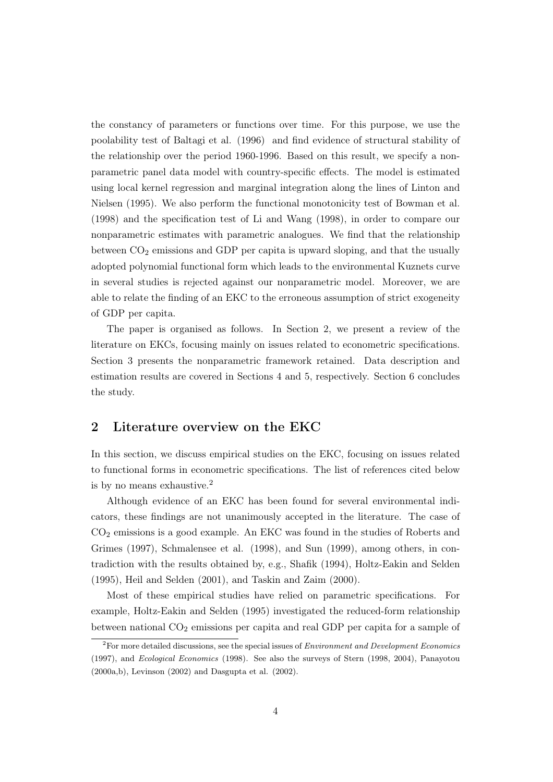the constancy of parameters or functions over time. For this purpose, we use the poolability test of Baltagi et al. (1996) and find evidence of structural stability of the relationship over the period 1960-1996. Based on this result, we specify a nonparametric panel data model with country-specific effects. The model is estimated using local kernel regression and marginal integration along the lines of Linton and Nielsen (1995). We also perform the functional monotonicity test of Bowman et al. (1998) and the specification test of Li and Wang (1998), in order to compare our nonparametric estimates with parametric analogues. We find that the relationship between  $CO<sub>2</sub>$  emissions and GDP per capita is upward sloping, and that the usually adopted polynomial functional form which leads to the environmental Kuznets curve in several studies is rejected against our nonparametric model. Moreover, we are able to relate the finding of an EKC to the erroneous assumption of strict exogeneity of GDP per capita.

The paper is organised as follows. In Section 2, we present a review of the literature on EKCs, focusing mainly on issues related to econometric specifications. Section 3 presents the nonparametric framework retained. Data description and estimation results are covered in Sections 4 and 5, respectively. Section 6 concludes the study.

### 2 Literature overview on the EKC

In this section, we discuss empirical studies on the EKC, focusing on issues related to functional forms in econometric specifications. The list of references cited below is by no means exhaustive.<sup>2</sup>

Although evidence of an EKC has been found for several environmental indicators, these findings are not unanimously accepted in the literature. The case of CO<sup>2</sup> emissions is a good example. An EKC was found in the studies of Roberts and Grimes (1997), Schmalensee et al. (1998), and Sun (1999), among others, in contradiction with the results obtained by, e.g., Shafik (1994), Holtz-Eakin and Selden (1995), Heil and Selden (2001), and Taskin and Zaim (2000).

Most of these empirical studies have relied on parametric specifications. For example, Holtz-Eakin and Selden (1995) investigated the reduced-form relationship between national  $CO<sub>2</sub>$  emissions per capita and real GDP per capita for a sample of

 $2F$ For more detailed discussions, see the special issues of *Environment and Development Economics* (1997), and Ecological Economics (1998). See also the surveys of Stern (1998, 2004), Panayotou (2000a,b), Levinson (2002) and Dasgupta et al. (2002).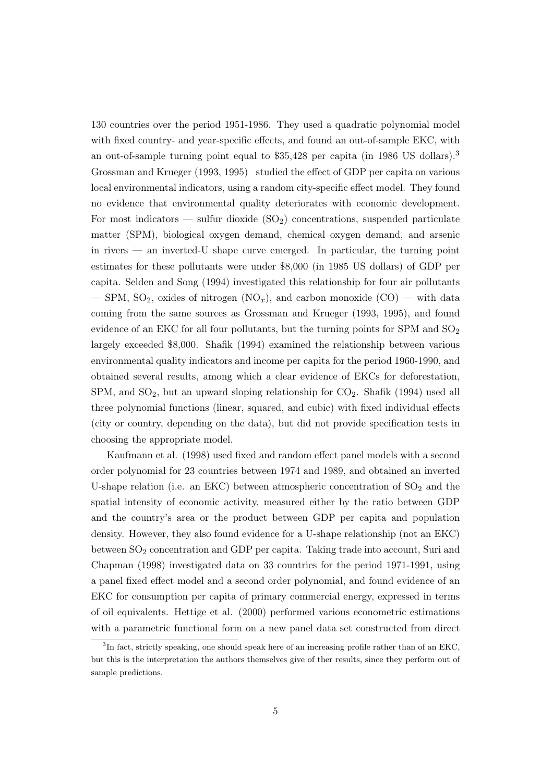130 countries over the period 1951-1986. They used a quadratic polynomial model with fixed country- and year-specific effects, and found an out-of-sample EKC, with an out-of-sample turning point equal to \$35,428 per capita (in 1986 US dollars).<sup>3</sup> Grossman and Krueger (1993, 1995) studied the effect of GDP per capita on various local environmental indicators, using a random city-specific effect model. They found no evidence that environmental quality deteriorates with economic development. For most indicators — sulfur dioxide  $(SO<sub>2</sub>)$  concentrations, suspended particulate matter (SPM), biological oxygen demand, chemical oxygen demand, and arsenic in rivers — an inverted-U shape curve emerged. In particular, the turning point estimates for these pollutants were under \$8,000 (in 1985 US dollars) of GDP per capita. Selden and Song (1994) investigated this relationship for four air pollutants — SPM, SO<sub>2</sub>, oxides of nitrogen  $(NO_x)$ , and carbon monoxide  $(CO)$  — with data coming from the same sources as Grossman and Krueger (1993, 1995), and found evidence of an EKC for all four pollutants, but the turning points for SPM and  $SO_2$ largely exceeded \$8,000. Shafik (1994) examined the relationship between various environmental quality indicators and income per capita for the period 1960-1990, and obtained several results, among which a clear evidence of EKCs for deforestation, SPM, and  $SO_2$ , but an upward sloping relationship for  $CO_2$ . Shafik (1994) used all three polynomial functions (linear, squared, and cubic) with fixed individual effects (city or country, depending on the data), but did not provide specification tests in choosing the appropriate model.

Kaufmann et al. (1998) used fixed and random effect panel models with a second order polynomial for 23 countries between 1974 and 1989, and obtained an inverted U-shape relation (i.e. an EKC) between atmospheric concentration of  $SO<sub>2</sub>$  and the spatial intensity of economic activity, measured either by the ratio between GDP and the country's area or the product between GDP per capita and population density. However, they also found evidence for a U-shape relationship (not an EKC) between  $SO_2$  concentration and GDP per capita. Taking trade into account, Suri and Chapman (1998) investigated data on 33 countries for the period 1971-1991, using a panel fixed effect model and a second order polynomial, and found evidence of an EKC for consumption per capita of primary commercial energy, expressed in terms of oil equivalents. Hettige et al. (2000) performed various econometric estimations with a parametric functional form on a new panel data set constructed from direct

<sup>&</sup>lt;sup>3</sup>In fact, strictly speaking, one should speak here of an increasing profile rather than of an EKC, but this is the interpretation the authors themselves give of ther results, since they perform out of sample predictions.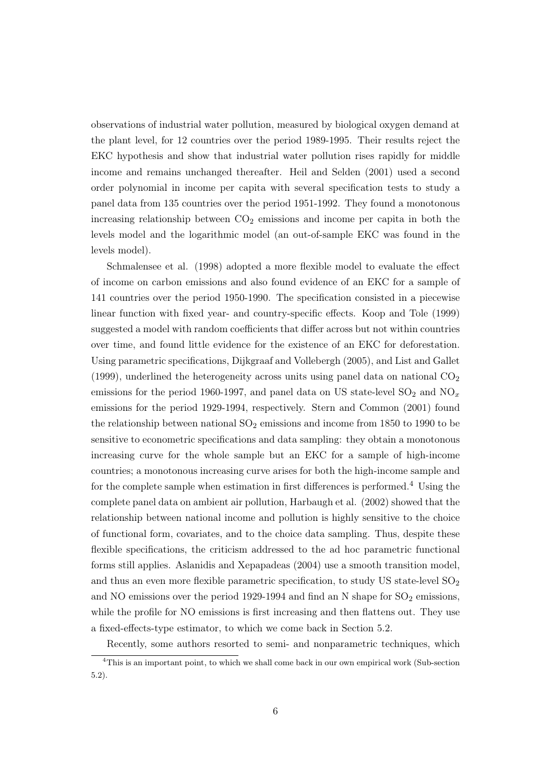observations of industrial water pollution, measured by biological oxygen demand at the plant level, for 12 countries over the period 1989-1995. Their results reject the EKC hypothesis and show that industrial water pollution rises rapidly for middle income and remains unchanged thereafter. Heil and Selden (2001) used a second order polynomial in income per capita with several specification tests to study a panel data from 135 countries over the period 1951-1992. They found a monotonous increasing relationship between  $CO<sub>2</sub>$  emissions and income per capita in both the levels model and the logarithmic model (an out-of-sample EKC was found in the levels model).

Schmalensee et al. (1998) adopted a more flexible model to evaluate the effect of income on carbon emissions and also found evidence of an EKC for a sample of 141 countries over the period 1950-1990. The specification consisted in a piecewise linear function with fixed year- and country-specific effects. Koop and Tole (1999) suggested a model with random coefficients that differ across but not within countries over time, and found little evidence for the existence of an EKC for deforestation. Using parametric specifications, Dijkgraaf and Vollebergh (2005), and List and Gallet (1999), underlined the heterogeneity across units using panel data on national  $CO<sub>2</sub>$ emissions for the period 1960-1997, and panel data on US state-level  $\text{SO}_2$  and  $\text{NO}_x$ emissions for the period 1929-1994, respectively. Stern and Common (2001) found the relationship between national  $SO_2$  emissions and income from 1850 to 1990 to be sensitive to econometric specifications and data sampling: they obtain a monotonous increasing curve for the whole sample but an EKC for a sample of high-income countries; a monotonous increasing curve arises for both the high-income sample and for the complete sample when estimation in first differences is performed.<sup>4</sup> Using the complete panel data on ambient air pollution, Harbaugh et al. (2002) showed that the relationship between national income and pollution is highly sensitive to the choice of functional form, covariates, and to the choice data sampling. Thus, despite these flexible specifications, the criticism addressed to the ad hoc parametric functional forms still applies. Aslanidis and Xepapadeas (2004) use a smooth transition model, and thus an even more flexible parametric specification, to study US state-level  $SO<sub>2</sub>$ and NO emissions over the period 1929-1994 and find an N shape for  $SO_2$  emissions, while the profile for NO emissions is first increasing and then flattens out. They use a fixed-effects-type estimator, to which we come back in Section 5.2.

Recently, some authors resorted to semi- and nonparametric techniques, which

<sup>4</sup>This is an important point, to which we shall come back in our own empirical work (Sub-section 5.2).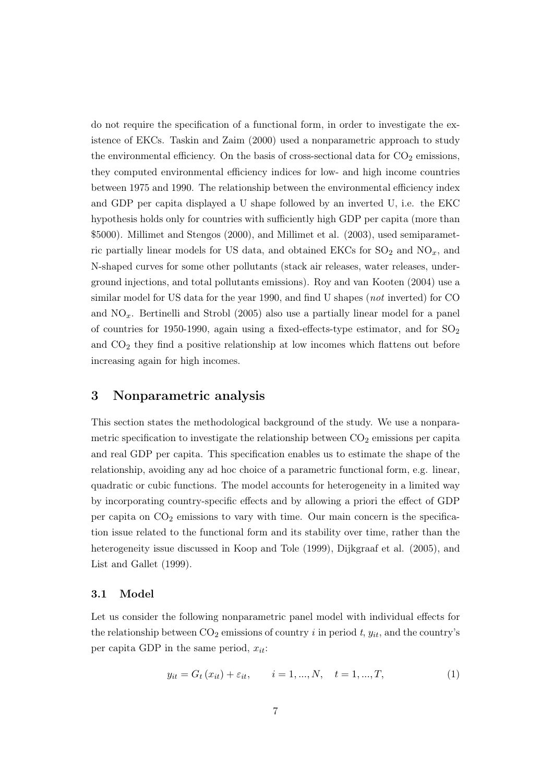do not require the specification of a functional form, in order to investigate the existence of EKCs. Taskin and Zaim (2000) used a nonparametric approach to study the environmental efficiency. On the basis of cross-sectional data for  $CO<sub>2</sub>$  emissions, they computed environmental efficiency indices for low- and high income countries between 1975 and 1990. The relationship between the environmental efficiency index and GDP per capita displayed a U shape followed by an inverted U, i.e. the EKC hypothesis holds only for countries with sufficiently high GDP per capita (more than \$5000). Millimet and Stengos (2000), and Millimet et al. (2003), used semiparametric partially linear models for US data, and obtained EKCs for  $SO_2$  and  $NO_x$ , and N-shaped curves for some other pollutants (stack air releases, water releases, underground injections, and total pollutants emissions). Roy and van Kooten (2004) use a similar model for US data for the year 1990, and find U shapes (not inverted) for CO and  $NO<sub>x</sub>$ . Bertinelli and Strobl (2005) also use a partially linear model for a panel of countries for 1950-1990, again using a fixed-effects-type estimator, and for  $SO_2$ and  $CO<sub>2</sub>$  they find a positive relationship at low incomes which flattens out before increasing again for high incomes.

## 3 Nonparametric analysis

This section states the methodological background of the study. We use a nonparametric specification to investigate the relationship between  $CO<sub>2</sub>$  emissions per capita and real GDP per capita. This specification enables us to estimate the shape of the relationship, avoiding any ad hoc choice of a parametric functional form, e.g. linear, quadratic or cubic functions. The model accounts for heterogeneity in a limited way by incorporating country-specific effects and by allowing a priori the effect of GDP per capita on  $CO<sub>2</sub>$  emissions to vary with time. Our main concern is the specification issue related to the functional form and its stability over time, rather than the heterogeneity issue discussed in Koop and Tole (1999), Dijkgraaf et al. (2005), and List and Gallet (1999).

#### 3.1 Model

Let us consider the following nonparametric panel model with individual effects for the relationship between  $CO_2$  emissions of country i in period t,  $y_{it}$ , and the country's per capita GDP in the same period,  $x_{it}$ :

$$
y_{it} = G_t(x_{it}) + \varepsilon_{it}, \qquad i = 1, ..., N, \quad t = 1, ..., T,
$$
 (1)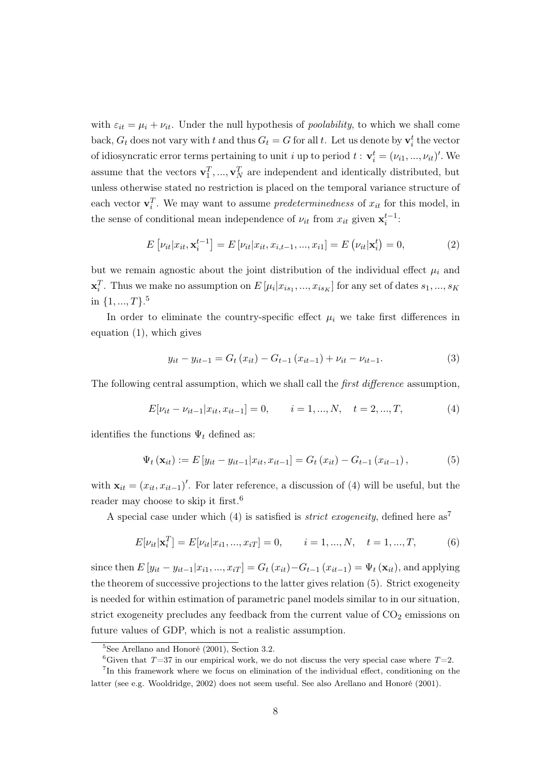with  $\varepsilon_{it} = \mu_i + \nu_{it}$ . Under the null hypothesis of *poolability*, to which we shall come back,  $G_t$  does not vary with t and thus  $G_t = G$  for all t. Let us denote by  $\mathbf{v}_i^t$  the vector of idiosyncratic error terms pertaining to unit i up to period  $t : \mathbf{v}_i^t = (v_{i1}, ..., v_{it})'$ . We assume that the vectors  $\mathbf{v}_1^T, ..., \mathbf{v}_N^T$  are independent and identically distributed, but unless otherwise stated no restriction is placed on the temporal variance structure of each vector  $\mathbf{v}_i^T$ . We may want to assume *predeterminedness* of  $x_{it}$  for this model, in the sense of conditional mean independence of  $\nu_{it}$  from  $x_{it}$  given  $\mathbf{x}_{i}^{t-1}$ :

$$
E[\nu_{it}|x_{it}, \mathbf{x}_i^{t-1}] = E[\nu_{it}|x_{it}, x_{i,t-1}, ..., x_{i1}] = E(\nu_{it}|\mathbf{x}_i^t) = 0,
$$
\n(2)

but we remain agnostic about the joint distribution of the individual effect  $\mu_i$  and  $\mathbf{x}_i^T$ . Thus we make no assumption on  $E[\mu_i|x_{is_1},...,x_{is_K}]$  for any set of dates  $s_1,...,s_K$ in  $\{1, ..., T\}$ .<sup>5</sup>

In order to eliminate the country-specific effect  $\mu_i$  we take first differences in equation (1), which gives

$$
y_{it} - y_{it-1} = G_t(x_{it}) - G_{t-1}(x_{it-1}) + \nu_{it} - \nu_{it-1}.
$$
\n(3)

The following central assumption, which we shall call the first difference assumption,

$$
E[\nu_{it} - \nu_{it-1} | x_{it}, x_{it-1}] = 0, \qquad i = 1, ..., N, \quad t = 2, ..., T,
$$
 (4)

identifies the functions  $\Psi_t$  defined as:

$$
\Psi_t(\mathbf{x}_{it}) := E\left[y_{it} - y_{it-1} | x_{it}, x_{it-1}\right] = G_t\left(x_{it}\right) - G_{t-1}\left(x_{it-1}\right),\tag{5}
$$

with  $\mathbf{x}_{it} = (x_{it}, x_{it-1})'$ . For later reference, a discussion of (4) will be useful, but the reader may choose to skip it first.<sup>6</sup>

A special case under which (4) is satisfied is *strict exogeneity*, defined here as<sup>7</sup>

$$
E[\nu_{it}|\mathbf{x}_i^T] = E[\nu_{it}|x_{i1},...,x_{iT}] = 0, \qquad i = 1,...,N, \quad t = 1,...,T,
$$
 (6)

since then  $E[y_{it} - y_{it-1}|x_{i1},...,x_{iT}] = G_t(x_{it}) - G_{t-1}(x_{it-1}) = \Psi_t(\mathbf{x}_{it})$ , and applying the theorem of successive projections to the latter gives relation (5). Strict exogeneity is needed for within estimation of parametric panel models similar to in our situation, strict exogeneity precludes any feedback from the current value of  $CO<sub>2</sub>$  emissions on future values of GDP, which is not a realistic assumption.

 $5$ See Arellano and Honoré (2001), Section 3.2.

<sup>&</sup>lt;sup>6</sup>Given that  $T=37$  in our empirical work, we do not discuss the very special case where  $T=2$ .

<sup>7</sup> In this framework where we focus on elimination of the individual effect, conditioning on the latter (see e.g. Wooldridge, 2002) does not seem useful. See also Arellano and Honoré (2001).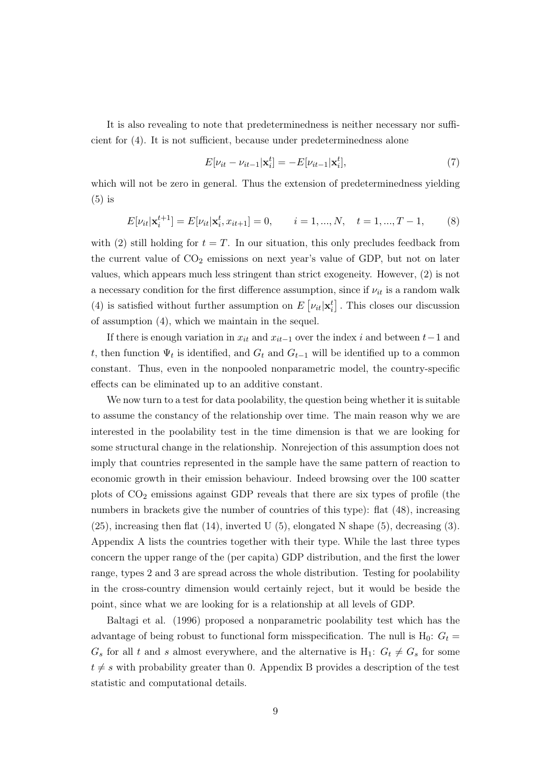It is also revealing to note that predeterminedness is neither necessary nor sufficient for (4). It is not sufficient, because under predeterminedness alone

$$
E[\nu_{it} - \nu_{it-1}|\mathbf{x}_i^t] = -E[\nu_{it-1}|\mathbf{x}_i^t],\tag{7}
$$

which will not be zero in general. Thus the extension of predeterminedness yielding (5) is

$$
E[\nu_{it}|\mathbf{x}_i^{t+1}] = E[\nu_{it}|\mathbf{x}_i^t, x_{it+1}] = 0, \qquad i = 1, ..., N, \quad t = 1, ..., T-1,
$$
 (8)

with (2) still holding for  $t = T$ . In our situation, this only precludes feedback from the current value of  $CO<sub>2</sub>$  emissions on next year's value of GDP, but not on later values, which appears much less stringent than strict exogeneity. However, (2) is not a necessary condition for the first difference assumption, since if  $\nu_{it}$  is a random walk (4) is satisfied without further assumption on  $E[\nu_{it}|\mathbf{x}_i^t]$ . This closes our discussion of assumption (4), which we maintain in the sequel.

If there is enough variation in  $x_{it}$  and  $x_{it-1}$  over the index i and between  $t-1$  and t, then function  $\Psi_t$  is identified, and  $G_t$  and  $G_{t-1}$  will be identified up to a common constant. Thus, even in the nonpooled nonparametric model, the country-specific effects can be eliminated up to an additive constant.

We now turn to a test for data poolability, the question being whether it is suitable to assume the constancy of the relationship over time. The main reason why we are interested in the poolability test in the time dimension is that we are looking for some structural change in the relationship. Nonrejection of this assumption does not imply that countries represented in the sample have the same pattern of reaction to economic growth in their emission behaviour. Indeed browsing over the 100 scatter plots of CO<sup>2</sup> emissions against GDP reveals that there are six types of profile (the numbers in brackets give the number of countries of this type): flat (48), increasing  $(25)$ , increasing then flat  $(14)$ , inverted U  $(5)$ , elongated N shape  $(5)$ , decreasing  $(3)$ . Appendix A lists the countries together with their type. While the last three types concern the upper range of the (per capita) GDP distribution, and the first the lower range, types 2 and 3 are spread across the whole distribution. Testing for poolability in the cross-country dimension would certainly reject, but it would be beside the point, since what we are looking for is a relationship at all levels of GDP.

Baltagi et al. (1996) proposed a nonparametric poolability test which has the advantage of being robust to functional form misspecification. The null is  $H_0: G_t =$  $G_s$  for all t and s almost everywhere, and the alternative is  $H_1: G_t \neq G_s$  for some  $t \neq s$  with probability greater than 0. Appendix B provides a description of the test statistic and computational details.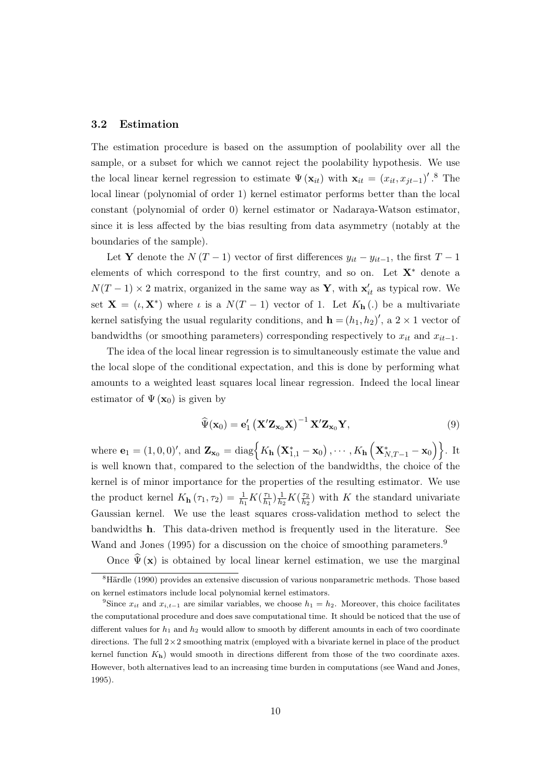#### 3.2 Estimation

The estimation procedure is based on the assumption of poolability over all the sample, or a subset for which we cannot reject the poolability hypothesis. We use the local linear kernel regression to estimate  $\Psi(\mathbf{x}_{it})$  with  $\mathbf{x}_{it} = (x_{it}, x_{jt-1})'$ .<sup>8</sup> The local linear (polynomial of order 1) kernel estimator performs better than the local constant (polynomial of order 0) kernel estimator or Nadaraya-Watson estimator, since it is less affected by the bias resulting from data asymmetry (notably at the boundaries of the sample).

Let Y denote the  $N (T - 1)$  vector of first differences  $y_{it} - y_{it-1}$ , the first  $T - 1$ elements of which correspond to the first country, and so on. Let  $X^*$  denote a  $N(T-1) \times 2$  matrix, organized in the same way as Y, with  $\mathbf{x}'_{it}$  as typical row. We set  $\mathbf{X} = (\iota, \mathbf{X}^*)$  where  $\iota$  is a  $N(T-1)$  vector of 1. Let  $K_{\mathbf{h}}(.)$  be a multivariate kernel satisfying the usual regularity conditions, and  $\mathbf{h} = (h_1, h_2)'$ , a  $2 \times 1$  vector of bandwidths (or smoothing parameters) corresponding respectively to  $x_{it}$  and  $x_{it-1}$ .

The idea of the local linear regression is to simultaneously estimate the value and the local slope of the conditional expectation, and this is done by performing what amounts to a weighted least squares local linear regression. Indeed the local linear estimator of  $\Psi(\mathbf{x}_0)$  is given by

$$
\widehat{\Psi}(\mathbf{x}_0) = \mathbf{e}'_1 \left( \mathbf{X}' \mathbf{Z}_{\mathbf{x}_0} \mathbf{X} \right)^{-1} \mathbf{X}' \mathbf{Z}_{\mathbf{x}_0} \mathbf{Y},\tag{9}
$$

where  $\mathbf{e}_1 = (1,0,0)'$ , and  $\mathbf{Z}_{\mathbf{x}_0} = \text{diag}\Big\{K_\mathbf{h} (\mathbf{X}_{1,1}^* - \mathbf{x}_0), \cdots, K_\mathbf{h} (\mathbf{X}_{N,T-1}^* - \mathbf{x}_0) \Big\}$ . It is well known that, compared to the selection of the bandwidths, the choice of the kernel is of minor importance for the properties of the resulting estimator. We use the product kernel  $K_{\mathbf{h}}(\tau_1, \tau_2) = \frac{1}{h_1} K(\frac{\tau_1}{h_1})$  $\frac{\tau_1}{h_1})\frac{1}{h_2}$  $\frac{1}{h_2}K(\frac{\tau_2}{h_2}$  $\frac{\tau_2}{h_2}$ ) with K the standard univariate Gaussian kernel. We use the least squares cross-validation method to select the bandwidths h. This data-driven method is frequently used in the literature. See Wand and Jones (1995) for a discussion on the choice of smoothing parameters.<sup>9</sup>

Once  $\hat{\Psi}(\mathbf{x})$  is obtained by local linear kernel estimation, we use the marginal

<sup>8</sup>Härdle (1990) provides an extensive discussion of various nonparametric methods. Those based on kernel estimators include local polynomial kernel estimators.

<sup>&</sup>lt;sup>9</sup>Since  $x_{it}$  and  $x_{i,t-1}$  are similar variables, we choose  $h_1 = h_2$ . Moreover, this choice facilitates the computational procedure and does save computational time. It should be noticed that the use of different values for  $h_1$  and  $h_2$  would allow to smooth by different amounts in each of two coordinate directions. The full  $2\times 2$  smoothing matrix (employed with a bivariate kernel in place of the product kernel function  $K<sub>h</sub>$ ) would smooth in directions different from those of the two coordinate axes. However, both alternatives lead to an increasing time burden in computations (see Wand and Jones, 1995).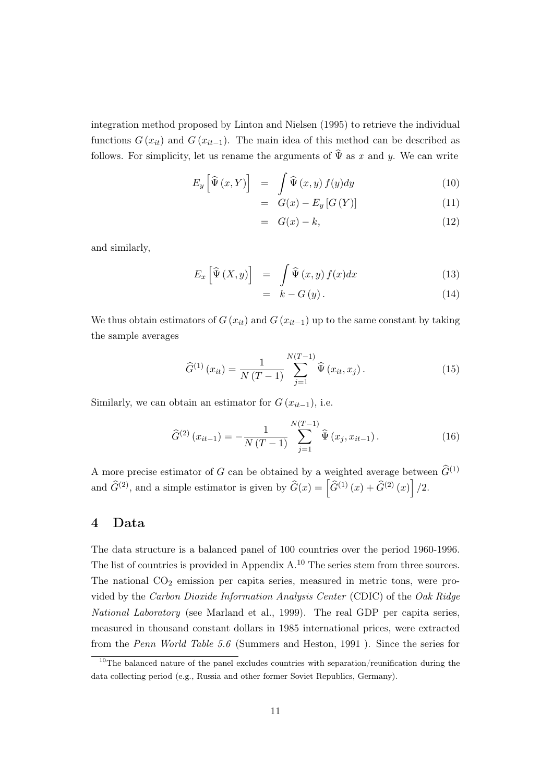integration method proposed by Linton and Nielsen (1995) to retrieve the individual functions  $G(x_{it})$  and  $G(x_{it-1})$ . The main idea of this method can be described as follows. For simplicity, let us rename the arguments of  $\hat{\Psi}$  as x and y. We can write

$$
E_y\left[\widehat{\Psi}(x,Y)\right] = \int \widehat{\Psi}(x,y) f(y) dy \qquad (10)
$$

$$
= G(x) - E_y [G(Y)] \tag{11}
$$

$$
= G(x) - k,\tag{12}
$$

and similarly,

$$
E_x\left[\widehat{\Psi}\left(X,y\right)\right] = \int \widehat{\Psi}\left(x,y\right)f(x)dx\tag{13}
$$

$$
= k - G(y). \tag{14}
$$

We thus obtain estimators of  $G(x_{it})$  and  $G(x_{it-1})$  up to the same constant by taking the sample averages

$$
\widehat{G}^{(1)}(x_{it}) = \frac{1}{N(T-1)} \sum_{j=1}^{N(T-1)} \widehat{\Psi}(x_{it}, x_j).
$$
\n(15)

Similarly, we can obtain an estimator for  $G(x_{it-1})$ , i.e.

$$
\widehat{G}^{(2)}\left(x_{it-1}\right) = -\frac{1}{N\left(T-1\right)} \sum_{j=1}^{N\left(T-1\right)} \widehat{\Psi}\left(x_j, x_{it-1}\right). \tag{16}
$$

A more precise estimator of G can be obtained by a weighted average between  $\widehat{G}^{(1)}$ and  $\widehat{G}^{(2)}$ , and a simple estimator is given by  $\widehat{G}(x) = \left[ \widehat{G}^{(1)}(x) + \widehat{G}^{(2)}(x) \right] / 2$ .

## 4 Data

The data structure is a balanced panel of 100 countries over the period 1960-1996. The list of countries is provided in Appendix A.<sup>10</sup> The series stem from three sources. The national  $CO<sub>2</sub>$  emission per capita series, measured in metric tons, were provided by the Carbon Dioxide Information Analysis Center (CDIC) of the Oak Ridge National Laboratory (see Marland et al., 1999). The real GDP per capita series, measured in thousand constant dollars in 1985 international prices, were extracted from the Penn World Table 5.6 (Summers and Heston, 1991 ). Since the series for

 $10$ The balanced nature of the panel excludes countries with separation/reunification during the data collecting period (e.g., Russia and other former Soviet Republics, Germany).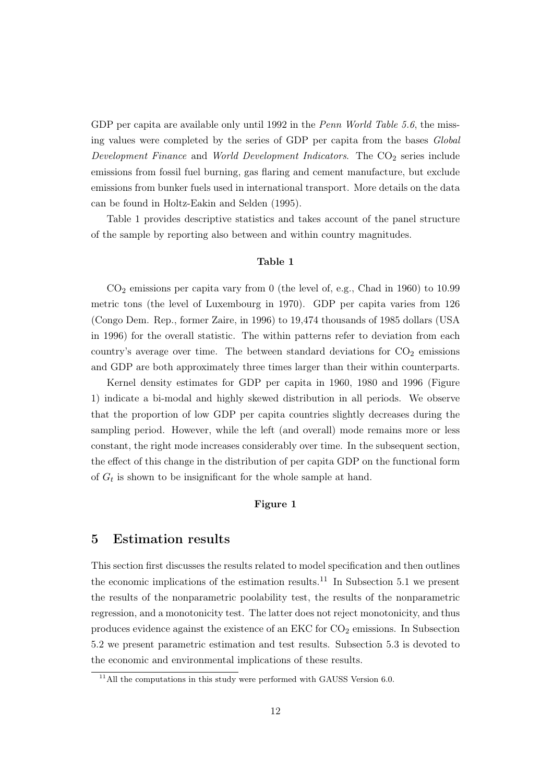GDP per capita are available only until 1992 in the *Penn World Table 5.6*, the missing values were completed by the series of GDP per capita from the bases Global Development Finance and World Development Indicators. The  $CO<sub>2</sub>$  series include emissions from fossil fuel burning, gas flaring and cement manufacture, but exclude emissions from bunker fuels used in international transport. More details on the data can be found in Holtz-Eakin and Selden (1995).

Table 1 provides descriptive statistics and takes account of the panel structure of the sample by reporting also between and within country magnitudes.

#### Table 1

 $CO<sub>2</sub>$  emissions per capita vary from 0 (the level of, e.g., Chad in 1960) to 10.99 metric tons (the level of Luxembourg in 1970). GDP per capita varies from 126 (Congo Dem. Rep., former Zaire, in 1996) to 19,474 thousands of 1985 dollars (USA in 1996) for the overall statistic. The within patterns refer to deviation from each country's average over time. The between standard deviations for  $CO<sub>2</sub>$  emissions and GDP are both approximately three times larger than their within counterparts.

Kernel density estimates for GDP per capita in 1960, 1980 and 1996 (Figure 1) indicate a bi-modal and highly skewed distribution in all periods. We observe that the proportion of low GDP per capita countries slightly decreases during the sampling period. However, while the left (and overall) mode remains more or less constant, the right mode increases considerably over time. In the subsequent section, the effect of this change in the distribution of per capita GDP on the functional form of  $G_t$  is shown to be insignificant for the whole sample at hand.

#### Figure 1

## 5 Estimation results

This section first discusses the results related to model specification and then outlines the economic implications of the estimation results.<sup>11</sup> In Subsection 5.1 we present the results of the nonparametric poolability test, the results of the nonparametric regression, and a monotonicity test. The latter does not reject monotonicity, and thus produces evidence against the existence of an EKC for  $CO<sub>2</sub>$  emissions. In Subsection 5.2 we present parametric estimation and test results. Subsection 5.3 is devoted to the economic and environmental implications of these results.

 $11$ All the computations in this study were performed with GAUSS Version 6.0.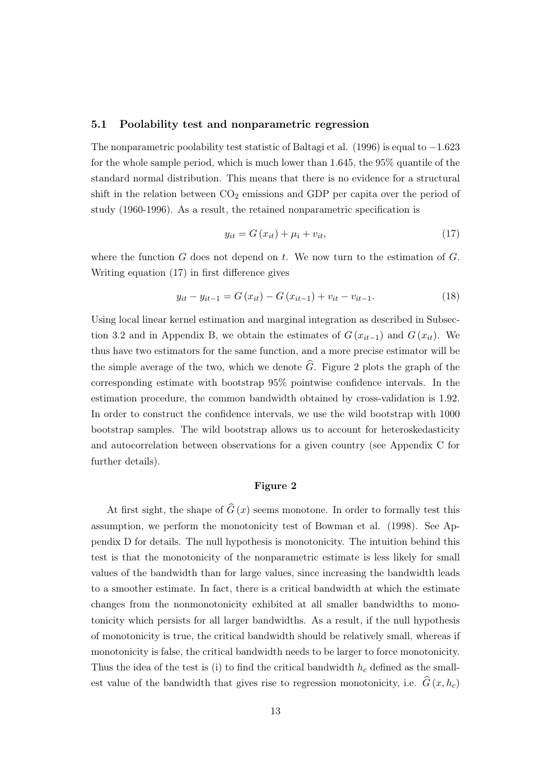#### 5.1 Poolability test and nonparametric regression

The nonparametric poolability test statistic of Baltagi et al. (1996) is equal to −1.623 for the whole sample period, which is much lower than 1.645, the 95% quantile of the standard normal distribution. This means that there is no evidence for a structural shift in the relation between  $CO<sub>2</sub>$  emissions and GDP per capita over the period of study (1960-1996). As a result, the retained nonparametric specification is

$$
y_{it} = G\left(x_{it}\right) + \mu_i + v_{it},\tag{17}
$$

where the function  $G$  does not depend on  $t$ . We now turn to the estimation of  $G$ . Writing equation (17) in first difference gives

$$
y_{it} - y_{it-1} = G(x_{it}) - G(x_{it-1}) + v_{it} - v_{it-1}.
$$
\n(18)

Using local linear kernel estimation and marginal integration as described in Subsection 3.2 and in Appendix B, we obtain the estimates of  $G(x_{it-1})$  and  $G(x_{it})$ . We thus have two estimators for the same function, and a more precise estimator will be the simple average of the two, which we denote  $\widehat{G}$ . Figure 2 plots the graph of the corresponding estimate with bootstrap 95% pointwise confidence intervals. In the estimation procedure, the common bandwidth obtained by cross-validation is 1.92. In order to construct the confidence intervals, we use the wild bootstrap with 1000 bootstrap samples. The wild bootstrap allows us to account for heteroskedasticity and autocorrelation between observations for a given country (see Appendix C for further details).

#### Figure 2

At first sight, the shape of  $\widehat{G}(x)$  seems monotone. In order to formally test this assumption, we perform the monotonicity test of Bowman et al. (1998). See Appendix D for details. The null hypothesis is monotonicity. The intuition behind this test is that the monotonicity of the nonparametric estimate is less likely for small values of the bandwidth than for large values, since increasing the bandwidth leads to a smoother estimate. In fact, there is a critical bandwidth at which the estimate changes from the nonmonotonicity exhibited at all smaller bandwidths to monotonicity which persists for all larger bandwidths. As a result, if the null hypothesis of monotonicity is true, the critical bandwidth should be relatively small, whereas if monotonicity is false, the critical bandwidth needs to be larger to force monotonicity. Thus the idea of the test is (i) to find the critical bandwidth  $h_c$  defined as the smallest value of the bandwidth that gives rise to regression monotonicity, i.e.  $\hat{G}(x, h_c)$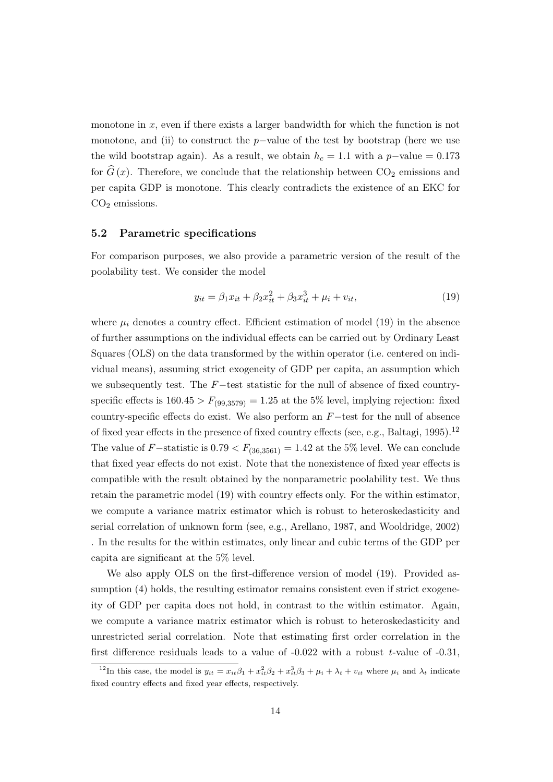monotone in  $x$ , even if there exists a larger bandwidth for which the function is not monotone, and (ii) to construct the p–value of the test by bootstrap (here we use the wild bootstrap again). As a result, we obtain  $h_c = 1.1$  with a p-value = 0.173 for  $\widehat{G}(x)$ . Therefore, we conclude that the relationship between CO<sub>2</sub> emissions and per capita GDP is monotone. This clearly contradicts the existence of an EKC for  $CO<sub>2</sub>$  emissions.

#### 5.2 Parametric specifications

For comparison purposes, we also provide a parametric version of the result of the poolability test. We consider the model

$$
y_{it} = \beta_1 x_{it} + \beta_2 x_{it}^2 + \beta_3 x_{it}^3 + \mu_i + v_{it}, \qquad (19)
$$

where  $\mu_i$  denotes a country effect. Efficient estimation of model (19) in the absence of further assumptions on the individual effects can be carried out by Ordinary Least Squares (OLS) on the data transformed by the within operator (i.e. centered on individual means), assuming strict exogeneity of GDP per capita, an assumption which we subsequently test. The  $F$ -test statistic for the null of absence of fixed countryspecific effects is  $160.45 > F_{(99,3579)} = 1.25$  at the 5% level, implying rejection: fixed country-specific effects do exist. We also perform an  $F$ -test for the null of absence of fixed year effects in the presence of fixed country effects (see, e.g., Baltagi, 1995).<sup>12</sup> The value of F-statistic is  $0.79 < F_{(36,3561)} = 1.42$  at the 5% level. We can conclude that fixed year effects do not exist. Note that the nonexistence of fixed year effects is compatible with the result obtained by the nonparametric poolability test. We thus retain the parametric model (19) with country effects only. For the within estimator, we compute a variance matrix estimator which is robust to heteroskedasticity and serial correlation of unknown form (see, e.g., Arellano, 1987, and Wooldridge, 2002) . In the results for the within estimates, only linear and cubic terms of the GDP per capita are significant at the 5% level.

We also apply OLS on the first-difference version of model (19). Provided assumption (4) holds, the resulting estimator remains consistent even if strict exogeneity of GDP per capita does not hold, in contrast to the within estimator. Again, we compute a variance matrix estimator which is robust to heteroskedasticity and unrestricted serial correlation. Note that estimating first order correlation in the first difference residuals leads to a value of  $-0.022$  with a robust t-value of  $-0.31$ ,

<sup>&</sup>lt;sup>12</sup>In this case, the model is  $y_{it} = x_{it}\beta_1 + x_{it}^2\beta_2 + x_{it}^3\beta_3 + \mu_i + \lambda_t + v_{it}$  where  $\mu_i$  and  $\lambda_t$  indicate fixed country effects and fixed year effects, respectively.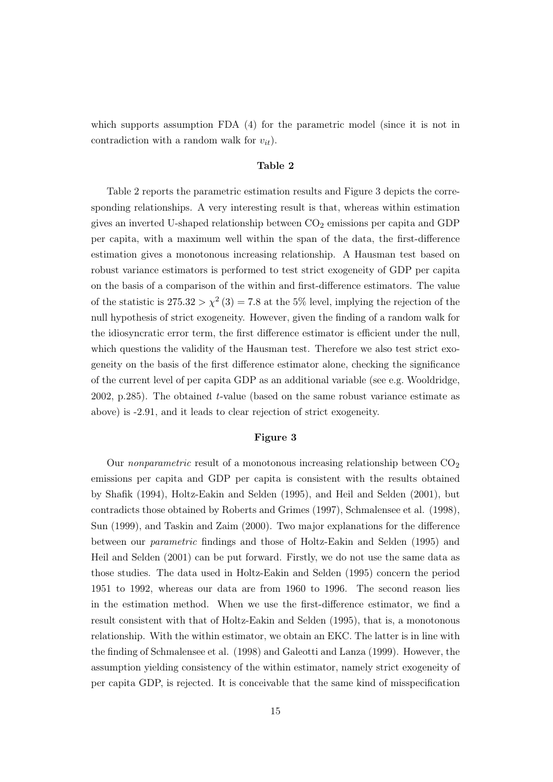which supports assumption FDA (4) for the parametric model (since it is not in contradiction with a random walk for  $v_{it}$ ).

#### Table 2

Table 2 reports the parametric estimation results and Figure 3 depicts the corresponding relationships. A very interesting result is that, whereas within estimation gives an inverted U-shaped relationship between  $CO<sub>2</sub>$  emissions per capita and GDP per capita, with a maximum well within the span of the data, the first-difference estimation gives a monotonous increasing relationship. A Hausman test based on robust variance estimators is performed to test strict exogeneity of GDP per capita on the basis of a comparison of the within and first-difference estimators. The value of the statistic is  $275.32 > \chi^2(3) = 7.8$  at the 5% level, implying the rejection of the null hypothesis of strict exogeneity. However, given the finding of a random walk for the idiosyncratic error term, the first difference estimator is efficient under the null, which questions the validity of the Hausman test. Therefore we also test strict exogeneity on the basis of the first difference estimator alone, checking the significance of the current level of per capita GDP as an additional variable (see e.g. Wooldridge, 2002, p.285). The obtained  $t$ -value (based on the same robust variance estimate as above) is -2.91, and it leads to clear rejection of strict exogeneity.

#### Figure 3

Our *nonparametric* result of a monotonous increasing relationship between  $CO<sub>2</sub>$ emissions per capita and GDP per capita is consistent with the results obtained by Shafik (1994), Holtz-Eakin and Selden (1995), and Heil and Selden (2001), but contradicts those obtained by Roberts and Grimes (1997), Schmalensee et al. (1998), Sun (1999), and Taskin and Zaim (2000). Two major explanations for the difference between our parametric findings and those of Holtz-Eakin and Selden (1995) and Heil and Selden (2001) can be put forward. Firstly, we do not use the same data as those studies. The data used in Holtz-Eakin and Selden (1995) concern the period 1951 to 1992, whereas our data are from 1960 to 1996. The second reason lies in the estimation method. When we use the first-difference estimator, we find a result consistent with that of Holtz-Eakin and Selden (1995), that is, a monotonous relationship. With the within estimator, we obtain an EKC. The latter is in line with the finding of Schmalensee et al. (1998) and Galeotti and Lanza (1999). However, the assumption yielding consistency of the within estimator, namely strict exogeneity of per capita GDP, is rejected. It is conceivable that the same kind of misspecification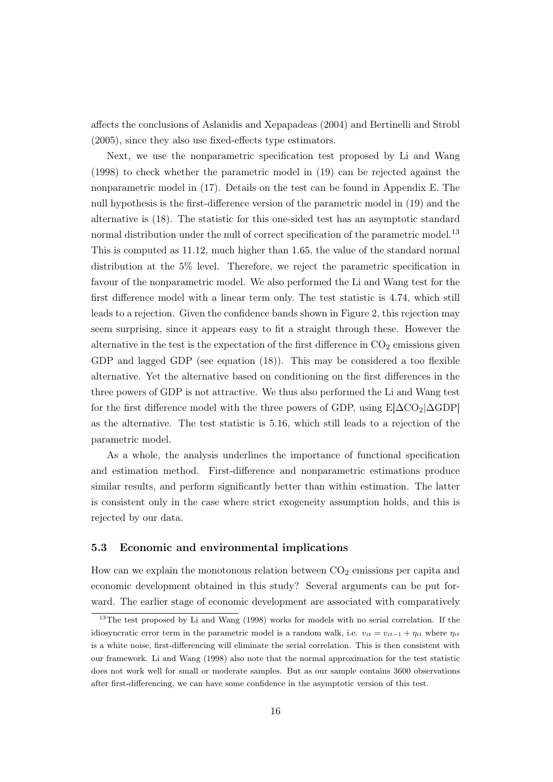affects the conclusions of Aslanidis and Xepapadeas (2004) and Bertinelli and Strobl (2005), since they also use fixed-effects type estimators.

Next, we use the nonparametric specification test proposed by Li and Wang (1998) to check whether the parametric model in (19) can be rejected against the nonparametric model in (17). Details on the test can be found in Appendix E. The null hypothesis is the first-difference version of the parametric model in (19) and the alternative is (18). The statistic for this one-sided test has an asymptotic standard normal distribution under the null of correct specification of the parametric model.<sup>13</sup> This is computed as 11.12, much higher than 1.65, the value of the standard normal distribution at the 5% level. Therefore, we reject the parametric specification in favour of the nonparametric model. We also performed the Li and Wang test for the first difference model with a linear term only. The test statistic is 4.74, which still leads to a rejection. Given the confidence bands shown in Figure 2, this rejection may seem surprising, since it appears easy to fit a straight through these. However the alternative in the test is the expectation of the first difference in  $CO<sub>2</sub>$  emissions given GDP and lagged GDP (see equation  $(18)$ ). This may be considered a too flexible alternative. Yet the alternative based on conditioning on the first differences in the three powers of GDP is not attractive. We thus also performed the Li and Wang test for the first difference model with the three powers of GDP, using  $E[\Delta CO_2|\Delta GDP]$ as the alternative. The test statistic is 5.16, which still leads to a rejection of the parametric model.

As a whole, the analysis underlines the importance of functional specification and estimation method. First-difference and nonparametric estimations produce similar results, and perform significantly better than within estimation. The latter is consistent only in the case where strict exogeneity assumption holds, and this is rejected by our data.

#### 5.3 Economic and environmental implications

How can we explain the monotonous relation between  $CO<sub>2</sub>$  emissions per capita and economic development obtained in this study? Several arguments can be put forward. The earlier stage of economic development are associated with comparatively

<sup>&</sup>lt;sup>13</sup>The test proposed by Li and Wang (1998) works for models with no serial correlation. If the idiosyncratic error term in the parametric model is a random walk, i.e.  $v_{it} = v_{it-1} + \eta_{it}$  where  $\eta_{it}$ is a white noise, first-differencing will eliminate the serial correlation. This is then consistent with our framework. Li and Wang (1998) also note that the normal approximation for the test statistic does not work well for small or moderate samples. But as our sample contains 3600 observations after first-differencing, we can have some confidence in the asymptotic version of this test.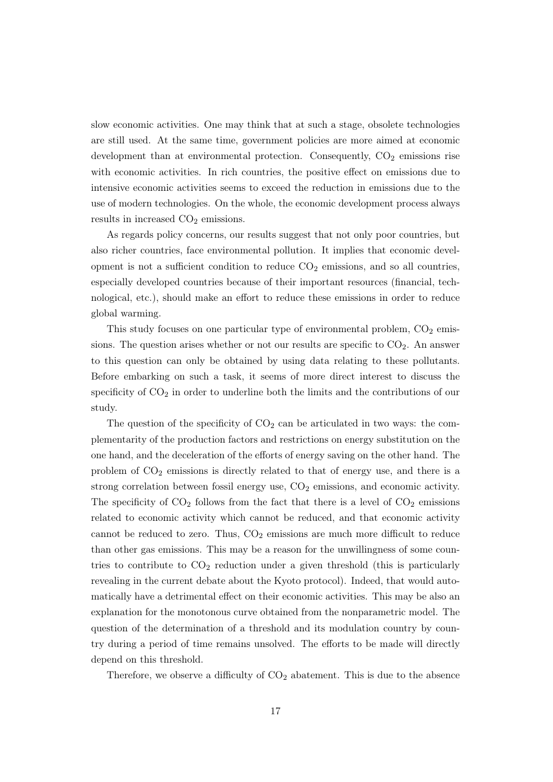slow economic activities. One may think that at such a stage, obsolete technologies are still used. At the same time, government policies are more aimed at economic development than at environmental protection. Consequently,  $CO<sub>2</sub>$  emissions rise with economic activities. In rich countries, the positive effect on emissions due to intensive economic activities seems to exceed the reduction in emissions due to the use of modern technologies. On the whole, the economic development process always results in increased  $CO<sub>2</sub>$  emissions.

As regards policy concerns, our results suggest that not only poor countries, but also richer countries, face environmental pollution. It implies that economic development is not a sufficient condition to reduce  $CO<sub>2</sub>$  emissions, and so all countries, especially developed countries because of their important resources (financial, technological, etc.), should make an effort to reduce these emissions in order to reduce global warming.

This study focuses on one particular type of environmental problem,  $CO<sub>2</sub>$  emissions. The question arises whether or not our results are specific to  $CO<sub>2</sub>$ . An answer to this question can only be obtained by using data relating to these pollutants. Before embarking on such a task, it seems of more direct interest to discuss the specificity of  $CO<sub>2</sub>$  in order to underline both the limits and the contributions of our study.

The question of the specificity of  $CO<sub>2</sub>$  can be articulated in two ways: the complementarity of the production factors and restrictions on energy substitution on the one hand, and the deceleration of the efforts of energy saving on the other hand. The problem of  $CO<sub>2</sub>$  emissions is directly related to that of energy use, and there is a strong correlation between fossil energy use,  $CO<sub>2</sub>$  emissions, and economic activity. The specificity of  $CO<sub>2</sub>$  follows from the fact that there is a level of  $CO<sub>2</sub>$  emissions related to economic activity which cannot be reduced, and that economic activity cannot be reduced to zero. Thus,  $CO<sub>2</sub>$  emissions are much more difficult to reduce than other gas emissions. This may be a reason for the unwillingness of some countries to contribute to  $CO<sub>2</sub>$  reduction under a given threshold (this is particularly revealing in the current debate about the Kyoto protocol). Indeed, that would automatically have a detrimental effect on their economic activities. This may be also an explanation for the monotonous curve obtained from the nonparametric model. The question of the determination of a threshold and its modulation country by country during a period of time remains unsolved. The efforts to be made will directly depend on this threshold.

Therefore, we observe a difficulty of  $CO<sub>2</sub>$  abatement. This is due to the absence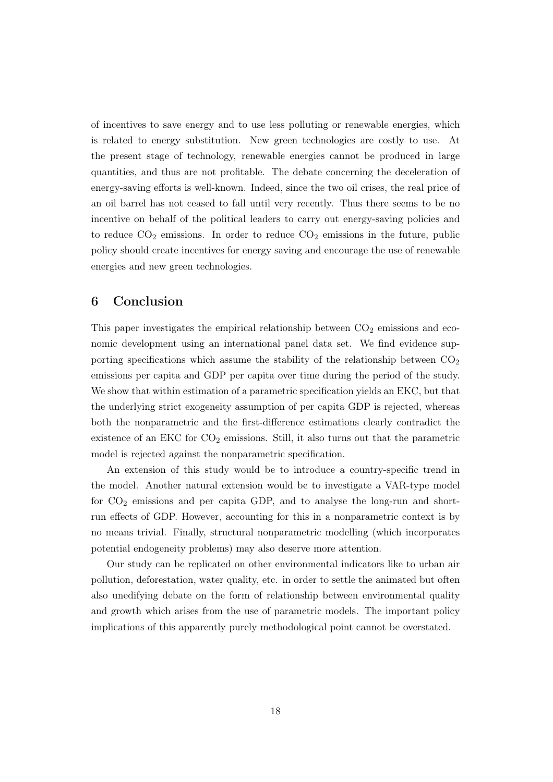of incentives to save energy and to use less polluting or renewable energies, which is related to energy substitution. New green technologies are costly to use. At the present stage of technology, renewable energies cannot be produced in large quantities, and thus are not profitable. The debate concerning the deceleration of energy-saving efforts is well-known. Indeed, since the two oil crises, the real price of an oil barrel has not ceased to fall until very recently. Thus there seems to be no incentive on behalf of the political leaders to carry out energy-saving policies and to reduce  $CO<sub>2</sub>$  emissions. In order to reduce  $CO<sub>2</sub>$  emissions in the future, public policy should create incentives for energy saving and encourage the use of renewable energies and new green technologies.

## 6 Conclusion

This paper investigates the empirical relationship between  $CO<sub>2</sub>$  emissions and economic development using an international panel data set. We find evidence supporting specifications which assume the stability of the relationship between  $CO<sub>2</sub>$ emissions per capita and GDP per capita over time during the period of the study. We show that within estimation of a parametric specification yields an EKC, but that the underlying strict exogeneity assumption of per capita GDP is rejected, whereas both the nonparametric and the first-difference estimations clearly contradict the existence of an EKC for  $CO<sub>2</sub>$  emissions. Still, it also turns out that the parametric model is rejected against the nonparametric specification.

An extension of this study would be to introduce a country-specific trend in the model. Another natural extension would be to investigate a VAR-type model for CO<sup>2</sup> emissions and per capita GDP, and to analyse the long-run and shortrun effects of GDP. However, accounting for this in a nonparametric context is by no means trivial. Finally, structural nonparametric modelling (which incorporates potential endogeneity problems) may also deserve more attention.

Our study can be replicated on other environmental indicators like to urban air pollution, deforestation, water quality, etc. in order to settle the animated but often also unedifying debate on the form of relationship between environmental quality and growth which arises from the use of parametric models. The important policy implications of this apparently purely methodological point cannot be overstated.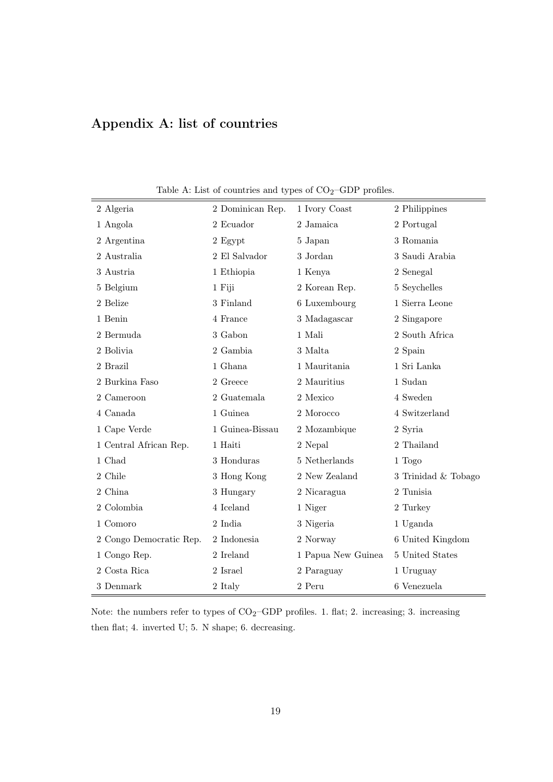## Appendix A: list of countries

|                         |                    | -- - - -           |                     |
|-------------------------|--------------------|--------------------|---------------------|
| 2 Algeria               | 2 Dominican Rep.   | 1 Ivory Coast      | 2 Philippines       |
| 1 Angola                | $2$ Ecuador        | 2 Jamaica          | 2 Portugal          |
| 2 Argentina             | 2 Egypt            | 5 Japan            | 3 Romania           |
| 2 Australia             | 2 El Salvador      | 3 Jordan           | 3 Saudi Arabia      |
| 3 Austria               | 1 Ethiopia         | 1 Kenya            | 2 Senegal           |
| 5 Belgium               | 1 Fiji             | 2 Korean Rep.      | 5 Seychelles        |
| 2 Belize                | 3 Finland          | 6 Luxembourg       | 1 Sierra Leone      |
| 1 Benin                 | 4 France           | 3 Madagascar       | 2 Singapore         |
| 2 Bermuda               | 3 Gabon            | 1 Mali             | 2 South Africa      |
| 2 Bolivia               | 2 Gambia           | 3 Malta            | 2 Spain             |
| 2 Brazil                | 1 Ghana            | 1 Mauritania       | 1 Sri Lanka         |
| 2 Burkina Faso          | 2 Greece           | 2 Mauritius        | 1 Sudan             |
| 2 Cameroon              | 2 Guatemala        | 2 Mexico           | 4 Sweden            |
| 4 Canada                | 1 Guinea           | 2 Morocco          | 4 Switzerland       |
| 1 Cape Verde            | 1 Guinea-Bissau    | 2 Mozambique       | 2 Syria             |
| 1 Central African Rep.  | 1 Haiti            | 2 Nepal            | 2 Thailand          |
| 1 Chad                  | 3 Honduras         | 5 Netherlands      | 1 Togo              |
| $2\,$ Chile             | 3 Hong Kong        | 2 New Zealand      | 3 Trinidad & Tobago |
| 2 China                 | 3 Hungary          | 2 Nicaragua        | 2 Tunisia           |
| 2 Colombia              | $4$ Iceland $\,$   | 1 Niger            | 2 Turkey            |
| 1 Comoro                | $2$ India $\,$     | 3 Nigeria          | 1 Uganda            |
| 2 Congo Democratic Rep. | $2$ Indonesia $\,$ | 2 Norway           | 6 United Kingdom    |
| 1 Congo Rep.            | $2$ Ireland $\,$   | 1 Papua New Guinea | 5 United States     |
| $2\,$ Costa Rica        | 2 Israel           | 2 Paraguay         | 1 Uruguay           |
| 3 Denmark               | 2 Italy            | $2\,$ Peru         | 6 Venezuela         |

Table A: List of countries and types of  $CO<sub>2</sub>$ –GDP profiles.

Note: the numbers refer to types of  $CO<sub>2</sub>-GDP$  profiles. 1. flat; 2. increasing; 3. increasing then flat; 4. inverted U; 5. N shape; 6. decreasing.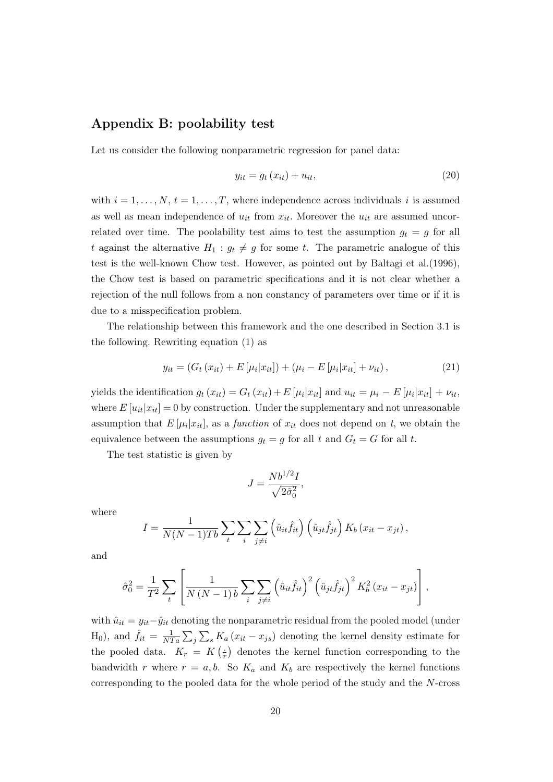## Appendix B: poolability test

Let us consider the following nonparametric regression for panel data:

$$
y_{it} = g_t(x_{it}) + u_{it},\tag{20}
$$

with  $i = 1, \ldots, N, t = 1, \ldots, T$ , where independence across individuals i is assumed as well as mean independence of  $u_{it}$  from  $x_{it}$ . Moreover the  $u_{it}$  are assumed uncorrelated over time. The poolability test aims to test the assumption  $g_t = g$  for all t against the alternative  $H_1: g_t \neq g$  for some t. The parametric analogue of this test is the well-known Chow test. However, as pointed out by Baltagi et al.(1996), the Chow test is based on parametric specifications and it is not clear whether a rejection of the null follows from a non constancy of parameters over time or if it is due to a misspecification problem.

The relationship between this framework and the one described in Section 3.1 is the following. Rewriting equation (1) as

$$
y_{it} = (G_t(x_{it}) + E[\mu_i|x_{it}]) + (\mu_i - E[\mu_i|x_{it}] + \nu_{it}), \qquad (21)
$$

yields the identification  $g_t(x_{it}) = G_t(x_{it}) + E[\mu_i|x_{it}]$  and  $u_{it} = \mu_i - E[\mu_i|x_{it}] + \nu_{it}$ , where  $E[u_{it}|x_{it}] = 0$  by construction. Under the supplementary and not unreasonable assumption that  $E[\mu_i|x_{it}]$ , as a *function* of  $x_{it}$  does not depend on t, we obtain the equivalence between the assumptions  $g_t = g$  for all t and  $G_t = G$  for all t.

The test statistic is given by

$$
J = \frac{Nb^{1/2}I}{\sqrt{2\hat{\sigma}_0^2}},
$$

where

$$
I = \frac{1}{N(N-1)Tb} \sum_{t} \sum_{i} \sum_{j \neq i} \left(\hat{u}_{it} \hat{f}_{it}\right) \left(\hat{u}_{jt} \hat{f}_{jt}\right) K_b (x_{it} - x_{jt}),
$$

and

$$
\hat{\sigma}_0^2 = \frac{1}{T^2} \sum_{t} \left[ \frac{1}{N(N-1) b} \sum_{i} \sum_{j \neq i} \left( \hat{u}_{it} \hat{f}_{it} \right)^2 \left( \hat{u}_{jt} \hat{f}_{jt} \right)^2 K_b^2 (x_{it} - x_{jt}) \right],
$$

with  $\hat{u}_{it} = y_{it} - \hat{y}_{it}$  denoting the nonparametric residual from the pooled model (under  $(H_0)$ , and  $\hat{f}_{it} = \frac{1}{NT}$  $\frac{1}{NTa} \sum_{j} \sum_{s} K_a (x_{it} - x_{js})$  denoting the kernel density estimate for the pooled data.  $K_r = K\left(\frac{1}{r}\right)$  $\frac{1}{r}$  denotes the kernel function corresponding to the bandwidth r where  $r = a, b$ . So  $K_a$  and  $K_b$  are respectively the kernel functions corresponding to the pooled data for the whole period of the study and the N-cross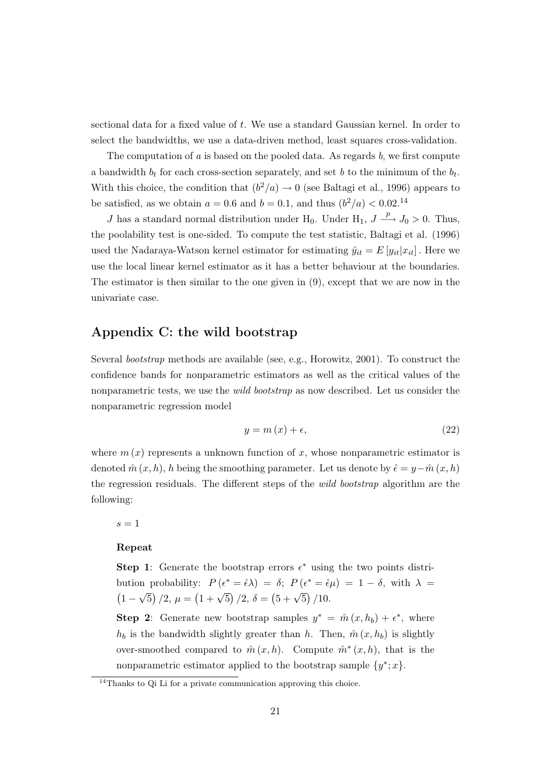sectional data for a fixed value of t. We use a standard Gaussian kernel. In order to select the bandwidths, we use a data-driven method, least squares cross-validation.

The computation of  $a$  is based on the pooled data. As regards  $b$ , we first compute a bandwidth  $b_t$  for each cross-section separately, and set b to the minimum of the  $b_t$ . With this choice, the condition that  $(b^2/a) \rightarrow 0$  (see Baltagi et al., 1996) appears to be satisfied, as we obtain  $a = 0.6$  and  $b = 0.1$ , and thus  $(b^2/a) < 0.02$ .<sup>14</sup>

J has a standard normal distribution under H<sub>0</sub>. Under H<sub>1</sub>,  $J \xrightarrow{p} J_0 > 0$ . Thus, the poolability test is one-sided. To compute the test statistic, Baltagi et al. (1996) used the Nadaraya-Watson kernel estimator for estimating  $\hat{y}_{it} = E[y_{it}|x_{it}]$ . Here we use the local linear kernel estimator as it has a better behaviour at the boundaries. The estimator is then similar to the one given in (9), except that we are now in the univariate case.

## Appendix C: the wild bootstrap

Several bootstrap methods are available (see, e.g., Horowitz, 2001). To construct the confidence bands for nonparametric estimators as well as the critical values of the nonparametric tests, we use the *wild bootstrap* as now described. Let us consider the nonparametric regression model

$$
y = m(x) + \epsilon,\tag{22}
$$

where  $m(x)$  represents a unknown function of x, whose nonparametric estimator is denoted  $\hat{m}(x, h)$ , h being the smoothing parameter. Let us denote by  $\hat{\epsilon} = y - \hat{m}(x, h)$ the regression residuals. The different steps of the wild bootstrap algorithm are the following:

 $s = 1$ 

#### Repeat

Step 1: Generate the bootstrap errors  $\epsilon^*$  using the two points distribution probability:  $P(\epsilon^* = \hat{\epsilon}\lambda) = \delta; P(\epsilon^* = \hat{\epsilon}\mu) = 1 - \delta$ , with  $\lambda =$  $(1 - \sqrt{5})/2$ ,  $\mu = (1 + \sqrt{5})/2$ ,  $\delta = (5 + \sqrt{5})/10$ .

**Step 2:** Generate new bootstrap samples  $y^* = \hat{m}(x, h_b) + \epsilon^*$ , where  $h_b$  is the bandwidth slightly greater than h. Then,  $\hat{m}(x, h_b)$  is slightly over-smoothed compared to  $\hat{m}(x,h)$ . Compute  $\hat{m}^*(x,h)$ , that is the nonparametric estimator applied to the bootstrap sample  $\{y^*; x\}$ .

 $14$ Thanks to Qi Li for a private communication approving this choice.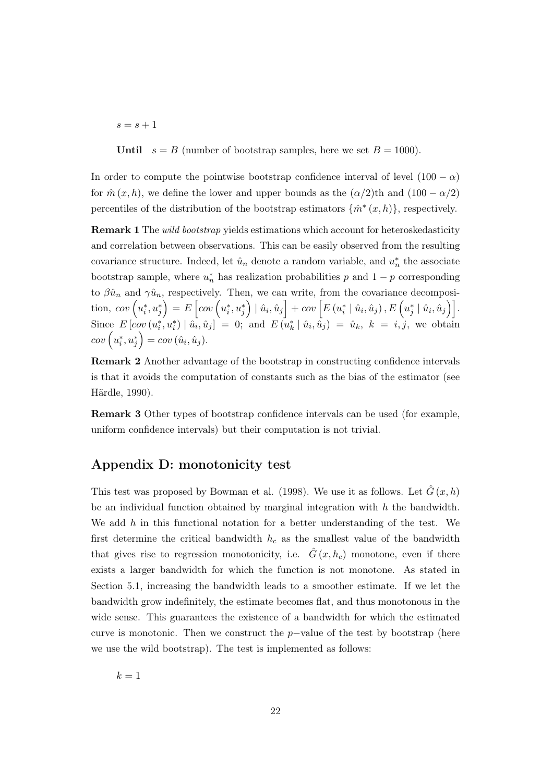$s = s + 1$ 

Until  $s = B$  (number of bootstrap samples, here we set  $B = 1000$ ).

In order to compute the pointwise bootstrap confidence interval of level  $(100 - \alpha)$ for  $\hat{m}(x, h)$ , we define the lower and upper bounds as the  $(\alpha/2)$ th and  $(100 - \alpha/2)$ percentiles of the distribution of the bootstrap estimators  $\{\hat{m}^*(x,h)\}\$ , respectively.

Remark 1 The wild bootstrap yields estimations which account for heteroskedasticity and correlation between observations. This can be easily observed from the resulting covariance structure. Indeed, let  $\hat{u}_n$  denote a random variable, and  $u_n^*$  the associate bootstrap sample, where  $u_n^*$  has realization probabilities p and  $1 - p$  corresponding to  $\beta \hat{u}_n$  and  $\gamma \hat{u}_n$ , respectively. Then, we can write, from the covariance decomposition,  $cov(u_i^*, u_j^*)$  $\Big) = E \left[ cov \left( u_i^*, u_j^* \right) \right]$  $\Big) \mid \hat{u}_i, \hat{u}_j \Big| + cov\left[E\left(u_i^* \mid \hat{u}_i, \hat{u}_j\right), E\left(u_j^* \mid \hat{u}_i, \hat{u}_j\right)\right].$ Since  $E\left[cov(u_i^*, u_i^*) | \hat{u}_i, \hat{u}_j\right] = 0$ ; and  $E\left(u_k^* | \hat{u}_i, \hat{u}_j\right) = \hat{u}_k$ ,  $k = i, j$ , we obtain  $cov\left(u_{i}^{*}, u_{j}^{*}\right)$  $= cov(\hat{u}_i, \hat{u}_j).$ 

Remark 2 Another advantage of the bootstrap in constructing confidence intervals is that it avoids the computation of constants such as the bias of the estimator (see Härdle, 1990).

Remark 3 Other types of bootstrap confidence intervals can be used (for example, uniform confidence intervals) but their computation is not trivial.

## Appendix D: monotonicity test

This test was proposed by Bowman et al. (1998). We use it as follows. Let  $\hat{G}(x,h)$ be an individual function obtained by marginal integration with  $h$  the bandwidth. We add  $h$  in this functional notation for a better understanding of the test. We first determine the critical bandwidth  $h_c$  as the smallest value of the bandwidth that gives rise to regression monotonicity, i.e.  $\hat{G}(x, h_c)$  monotone, even if there exists a larger bandwidth for which the function is not monotone. As stated in Section 5.1, increasing the bandwidth leads to a smoother estimate. If we let the bandwidth grow indefinitely, the estimate becomes flat, and thus monotonous in the wide sense. This guarantees the existence of a bandwidth for which the estimated curve is monotonic. Then we construct the p–value of the test by bootstrap (here we use the wild bootstrap). The test is implemented as follows:

 $k = 1$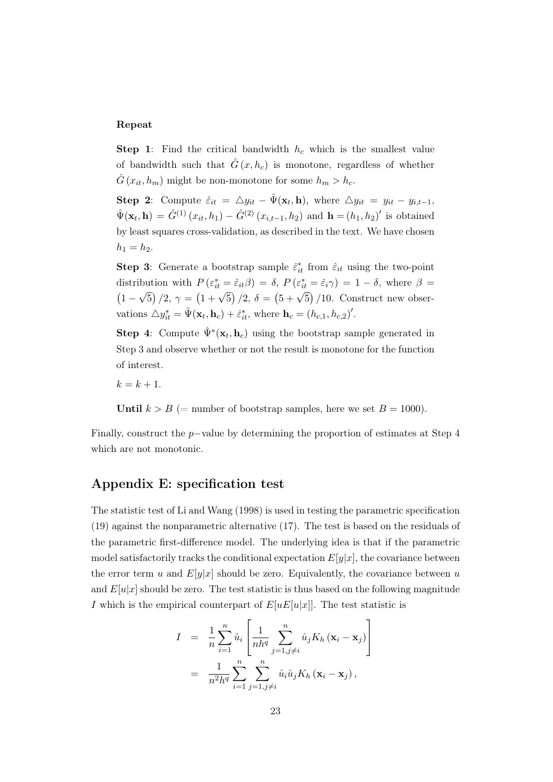#### Repeat

**Step 1:** Find the critical bandwidth  $h_c$  which is the smallest value of bandwidth such that  $\hat{G}(x, h_c)$  is monotone, regardless of whether  $\hat{G}(x_{it}, h_m)$  might be non-monotone for some  $h_m > h_c$ .

**Step 2:** Compute  $\hat{\varepsilon}_{it} = \Delta y_{it} - \hat{\Psi}(\mathbf{x}_t, \mathbf{h})$ , where  $\Delta y_{it} = y_{it} - y_{i,t-1}$ ,  $\hat{\Psi}(\mathbf{x}_t, \mathbf{h}) = \hat{G}^{(1)}(x_{it}, h_1) - \hat{G}^{(2)}(x_{i,t-1}, h_2)$  and  $\mathbf{h} = (h_1, h_2)'$  is obtained by least squares cross-validation, as described in the text. We have chosen  $h_1 = h_2.$ 

**Step 3**: Generate a bootstrap sample  $\hat{\varepsilon}_{it}^{*}$  from  $\hat{\varepsilon}_{it}$  using the two-point distribution with  $P(\varepsilon_{it}^* = \hat{\varepsilon}_{it}\beta) = \delta$ ,  $P(\varepsilon_{it}^* = \hat{\varepsilon}_i\gamma) = 1 - \delta$ , where  $\beta =$  $(1 - \sqrt{5})/2$ ,  $\gamma = (1 + \sqrt{5})/2$ ,  $\delta = (5 + \sqrt{5})/10$ . Construct new observations  $\Delta y_{it}^* = \hat{\Psi}(\mathbf{x}_t, \mathbf{h}_c) + \hat{\varepsilon}_{it}^*$ , where  $\mathbf{h}_c = (h_{c,1}, h_{c,2})'$ .

**Step 4:** Compute  $\hat{\Psi}^*(\mathbf{x}_t, \mathbf{h}_c)$  using the bootstrap sample generated in Step 3 and observe whether or not the result is monotone for the function of interest.

 $k = k + 1.$ 

Until  $k > B$  (= number of bootstrap samples, here we set  $B = 1000$ ).

Finally, construct the p−value by determining the proportion of estimates at Step 4 which are not monotonic.

## Appendix E: specification test

The statistic test of Li and Wang (1998) is used in testing the parametric specification (19) against the nonparametric alternative (17). The test is based on the residuals of the parametric first-difference model. The underlying idea is that if the parametric model satisfactorily tracks the conditional expectation  $E[y|x]$ , the covariance between the error term u and  $E[y|x]$  should be zero. Equivalently, the covariance between u and  $E[u|x]$  should be zero. The test statistic is thus based on the following magnitude I which is the empirical counterpart of  $E[uE[u|x]]$ . The test statistic is

$$
I = \frac{1}{n} \sum_{i=1}^{n} \hat{u}_i \left[ \frac{1}{nh^q} \sum_{j=1, j \neq i}^{n} \hat{u}_j K_h (\mathbf{x}_i - \mathbf{x}_j) \right]
$$
  
= 
$$
\frac{1}{n^2 h^q} \sum_{i=1}^{n} \sum_{j=1, j \neq i}^{n} \hat{u}_i \hat{u}_j K_h (\mathbf{x}_i - \mathbf{x}_j),
$$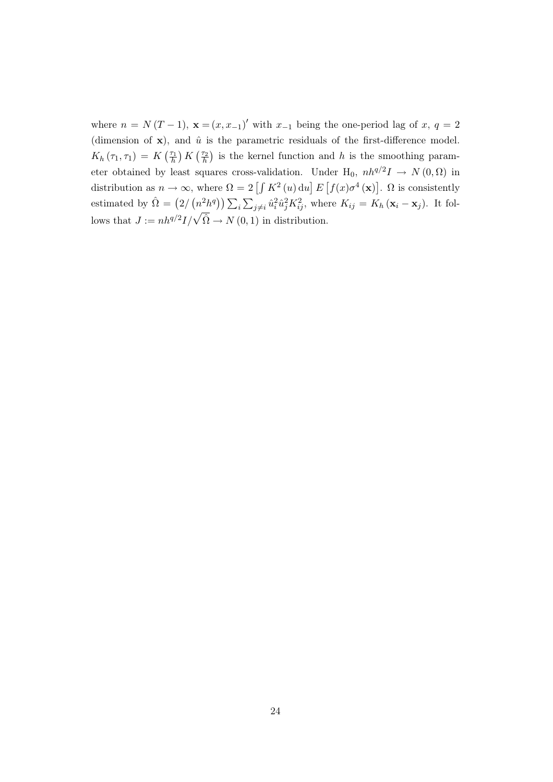where  $n = N(T-1)$ ,  $\mathbf{x} = (x, x_{-1})'$  with  $x_{-1}$  being the one-period lag of  $x, q = 2$ (dimension of  $x$ ), and  $\hat{u}$  is the parametric residuals of the first-difference model.  $K_h(\tau_1, \tau_1) = K\left(\frac{\tau_1}{h}\right)$  $\frac{\tau_1}{h}$ )  $K\left(\frac{\tau_2}{h}\right)$  $\frac{r_2}{h}$ ) is the kernel function and h is the smoothing parameter obtained by least squares cross-validation. Under  $H_0$ ,  $nh^{q/2}I \rightarrow N(0, \Omega)$  in distribution as  $n \to \infty$ , where  $\Omega = 2 \left[ \int K^2(u) \, du \right] E \left[ f(x) \sigma^4(\mathbf{x}) \right]$ .  $\Omega$  is consistently estimated by  $\hat{\Omega} = (2/(n^2h^q)) \sum_i \sum_{j\neq i} \hat{u}_i^2 \hat{u}_j^2 K_{ij}^2$ , where  $K_{ij} = K_h (\mathbf{x}_i - \mathbf{x}_j)$ . It follows that  $J := nh^{q/2}I/\sqrt{\hat{\Omega}} \to N(0, 1)$  in distribution.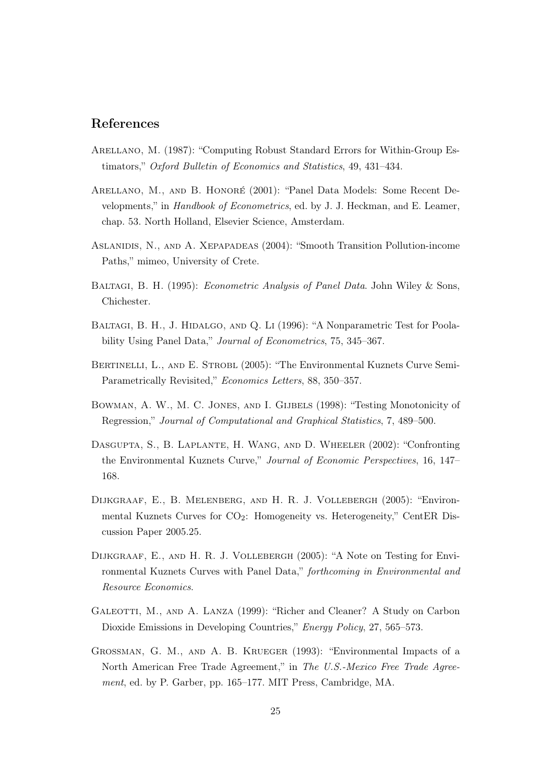## References

- Arellano, M. (1987): "Computing Robust Standard Errors for Within-Group Estimators," Oxford Bulletin of Economics and Statistics, 49, 431–434.
- Arellano, M., and B. Honoré (2001): "Panel Data Models: Some Recent Developments," in Handbook of Econometrics, ed. by J. J. Heckman, and E. Leamer, chap. 53. North Holland, Elsevier Science, Amsterdam.
- Aslanidis, N., and A. Xepapadeas (2004): "Smooth Transition Pollution-income Paths," mimeo, University of Crete.
- BALTAGI, B. H. (1995): *Econometric Analysis of Panel Data*. John Wiley & Sons, Chichester.
- BALTAGI, B. H., J. HIDALGO, AND Q. LI (1996): "A Nonparametric Test for Poolability Using Panel Data," Journal of Econometrics, 75, 345–367.
- BERTINELLI, L., AND E. STROBL (2005): "The Environmental Kuznets Curve Semi-Parametrically Revisited," Economics Letters, 88, 350–357.
- Bowman, A. W., M. C. Jones, and I. Gijbels (1998): "Testing Monotonicity of Regression," Journal of Computational and Graphical Statistics, 7, 489–500.
- Dasgupta, S., B. Laplante, H. Wang, and D. Wheeler (2002): "Confronting the Environmental Kuznets Curve," Journal of Economic Perspectives, 16, 147– 168.
- Dijkgraaf, E., B. Melenberg, and H. R. J. Vollebergh (2005): "Environmental Kuznets Curves for  $CO<sub>2</sub>$ : Homogeneity vs. Heterogeneity," CentER Discussion Paper 2005.25.
- DIJKGRAAF, E., AND H. R. J. VOLLEBERGH (2005): "A Note on Testing for Environmental Kuznets Curves with Panel Data," forthcoming in Environmental and Resource Economics.
- Galeotti, M., and A. Lanza (1999): "Richer and Cleaner? A Study on Carbon Dioxide Emissions in Developing Countries," Energy Policy, 27, 565–573.
- Grossman, G. M., and A. B. Krueger (1993): "Environmental Impacts of a North American Free Trade Agreement," in The U.S.-Mexico Free Trade Agreement, ed. by P. Garber, pp. 165–177. MIT Press, Cambridge, MA.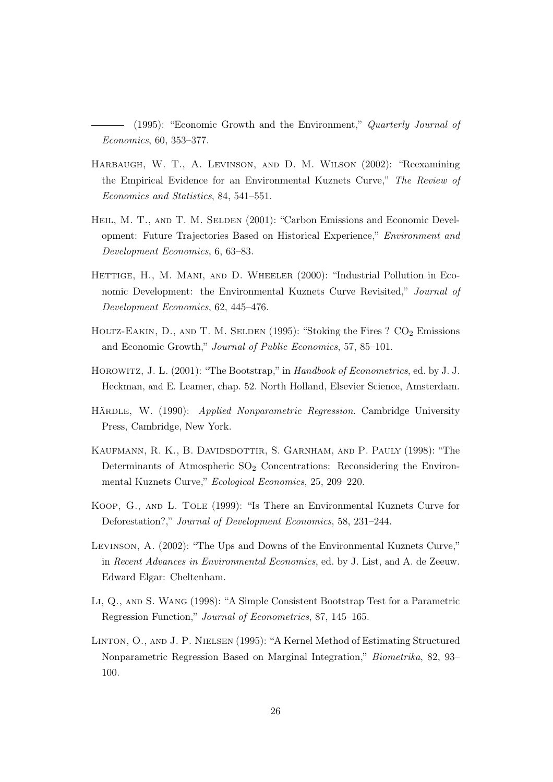(1995): "Economic Growth and the Environment," Quarterly Journal of Economics, 60, 353–377.

- Harbaugh, W. T., A. Levinson, and D. M. Wilson (2002): "Reexamining the Empirical Evidence for an Environmental Kuznets Curve," The Review of Economics and Statistics, 84, 541–551.
- HEIL, M. T., AND T. M. SELDEN (2001): "Carbon Emissions and Economic Development: Future Trajectories Based on Historical Experience," Environment and Development Economics, 6, 63–83.
- HETTIGE, H., M. MANI, AND D. WHEELER (2000): "Industrial Pollution in Economic Development: the Environmental Kuznets Curve Revisited," Journal of Development Economics, 62, 445–476.
- HOLTZ-EAKIN, D., AND T. M. SELDEN (1995): "Stoking the Fires ?  $CO<sub>2</sub>$  Emissions and Economic Growth," Journal of Public Economics, 57, 85–101.
- Horowitz, J. L. (2001): "The Bootstrap," in Handbook of Econometrics, ed. by J. J. Heckman, and E. Leamer, chap. 52. North Holland, Elsevier Science, Amsterdam.
- HÄRDLE, W. (1990): Applied Nonparametric Regression. Cambridge University Press, Cambridge, New York.
- Kaufmann, R. K., B. Davidsdottir, S. Garnham, and P. Pauly (1998): "The Determinants of Atmospheric  $SO<sub>2</sub>$  Concentrations: Reconsidering the Environmental Kuznets Curve," Ecological Economics, 25, 209–220.
- Koop, G., and L. Tole (1999): "Is There an Environmental Kuznets Curve for Deforestation?," Journal of Development Economics, 58, 231–244.
- Levinson, A. (2002): "The Ups and Downs of the Environmental Kuznets Curve," in Recent Advances in Environmental Economics, ed. by J. List, and A. de Zeeuw. Edward Elgar: Cheltenham.
- Li, Q., and S. Wang (1998): "A Simple Consistent Bootstrap Test for a Parametric Regression Function," Journal of Econometrics, 87, 145–165.
- Linton, O., and J. P. Nielsen (1995): "A Kernel Method of Estimating Structured Nonparametric Regression Based on Marginal Integration," Biometrika, 82, 93– 100.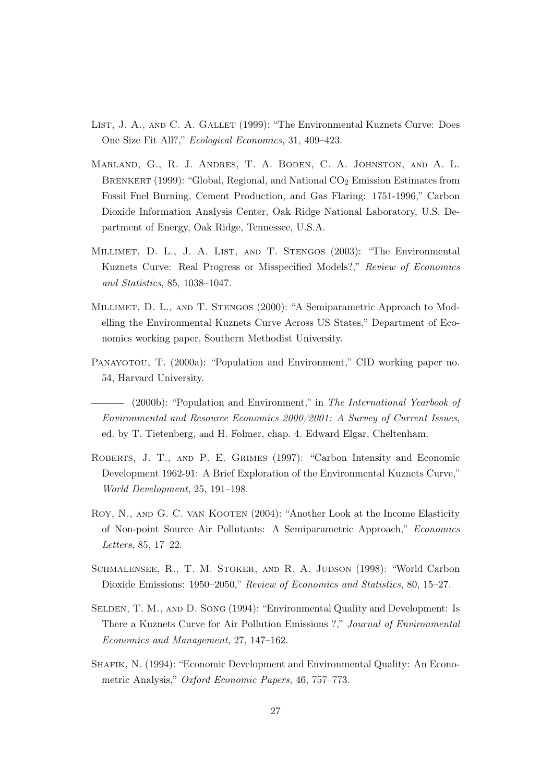- List, J. A., and C. A. Gallet (1999): "The Environmental Kuznets Curve: Does One Size Fit All?," Ecological Economics, 31, 409–423.
- Marland, G., R. J. Andres, T. A. Boden, C. A. Johnston, and A. L. BRENKERT (1999): "Global, Regional, and National  $CO<sub>2</sub>$  Emission Estimates from Fossil Fuel Burning, Cement Production, and Gas Flaring: 1751-1996," Carbon Dioxide Information Analysis Center, Oak Ridge National Laboratory, U.S. Department of Energy, Oak Ridge, Tennessee, U.S.A.
- MILLIMET, D. L., J. A. LIST, AND T. STENGOS (2003): "The Environmental Kuznets Curve: Real Progress or Misspecified Models?," Review of Economics and Statistics, 85, 1038–1047.
- Millimet, D. L., and T. Stengos (2000): "A Semiparametric Approach to Modelling the Environmental Kuznets Curve Across US States," Department of Economics working paper, Southern Methodist University.
- PANAYOTOU, T. (2000a): "Population and Environment," CID working paper no. 54, Harvard University.
- (2000b): "Population and Environment," in The International Yearbook of Environmental and Resource Economics 2000/2001: A Survey of Current Issues, ed. by T. Tietenberg, and H. Folmer, chap. 4. Edward Elgar, Cheltenham.
- Roberts, J. T., and P. E. Grimes (1997): "Carbon Intensity and Economic Development 1962-91: A Brief Exploration of the Environmental Kuznets Curve," World Development, 25, 191–198.
- ROY, N., AND G. C. VAN KOOTEN (2004): "Another Look at the Income Elasticity of Non-point Source Air Pollutants: A Semiparametric Approach," Economics Letters, 85, 17–22.
- Schmalensee, R., T. M. Stoker, and R. A. Judson (1998): "World Carbon Dioxide Emissions: 1950–2050," Review of Economics and Statistics, 80, 15–27.
- Selden, T. M., and D. Song (1994): "Environmental Quality and Development: Is There a Kuznets Curve for Air Pollution Emissions ?," Journal of Environmental Economics and Management, 27, 147–162.
- Shafik, N. (1994): "Economic Development and Environmental Quality: An Econometric Analysis," Oxford Economic Papers, 46, 757–773.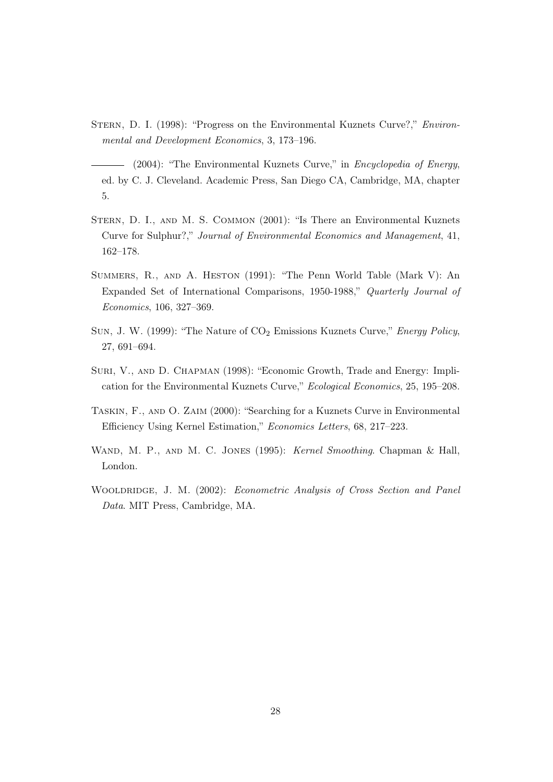- Stern, D. I. (1998): "Progress on the Environmental Kuznets Curve?," Environmental and Development Economics, 3, 173–196.
- (2004): "The Environmental Kuznets Curve," in Encyclopedia of Energy, ed. by C. J. Cleveland. Academic Press, San Diego CA, Cambridge, MA, chapter 5.
- STERN, D. I., AND M. S. COMMON (2001): "Is There an Environmental Kuznets Curve for Sulphur?," Journal of Environmental Economics and Management, 41, 162–178.
- SUMMERS, R., AND A. HESTON (1991): "The Penn World Table (Mark V): An Expanded Set of International Comparisons, 1950-1988," Quarterly Journal of Economics, 106, 327–369.
- SUN, J. W. (1999): "The Nature of  $CO<sub>2</sub>$  Emissions Kuznets Curve," *Energy Policy*, 27, 691–694.
- SURI, V., AND D. CHAPMAN (1998): "Economic Growth, Trade and Energy: Implication for the Environmental Kuznets Curve," Ecological Economics, 25, 195–208.
- Taskin, F., and O. Zaim (2000): "Searching for a Kuznets Curve in Environmental Efficiency Using Kernel Estimation," Economics Letters, 68, 217–223.
- Wand, M. P., and M. C. Jones (1995): Kernel Smoothing. Chapman & Hall, London.
- WOOLDRIDGE, J. M. (2002): Econometric Analysis of Cross Section and Panel Data. MIT Press, Cambridge, MA.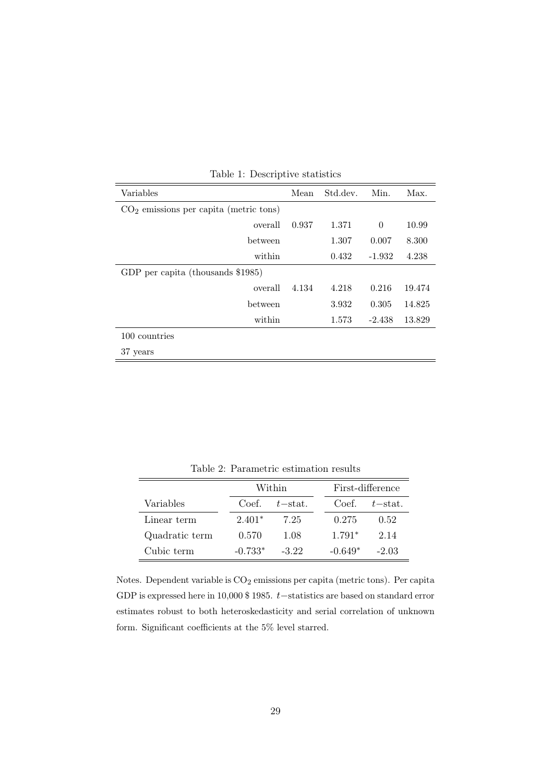| Variables                                | Mean  | Std.dev. | Min.     | Max.   |
|------------------------------------------|-------|----------|----------|--------|
| $CO2$ emissions per capita (metric tons) |       |          |          |        |
| overall                                  | 0.937 | 1.371    | $\theta$ | 10.99  |
| between                                  |       | 1.307    | 0.007    | 8.300  |
| within                                   |       | 0.432    | $-1.932$ | 4.238  |
| GDP per capita (thousands \$1985)        |       |          |          |        |
| overall                                  | 4.134 | 4.218    | 0.216    | 19.474 |
| between                                  |       | 3.932    | 0.305    | 14.825 |
| within                                   |       | 1.573    | $-2.438$ | 13.829 |
| 100 countries                            |       |          |          |        |
| 37 years                                 |       |          |          |        |

Table 1: Descriptive statistics

| IWAIO EI I WIWIIODIIO ODDIIIWDIOII IODUIDD |           |            |  |                  |            |  |  |  |
|--------------------------------------------|-----------|------------|--|------------------|------------|--|--|--|
|                                            |           | Within     |  | First-difference |            |  |  |  |
| Variables                                  | Coef.     | $t$ -stat. |  | Coef.            | $t$ -stat. |  |  |  |
| Linear term                                | $2.401*$  | 7.25       |  | 0.275            | 0.52       |  |  |  |
| Quadratic term                             | 0.570     | 1.08       |  | $1.791*$         | 2.14       |  |  |  |
| Cubic term                                 | $-0.733*$ | $-3.22$    |  | $-0.649*$        | $-2.03$    |  |  |  |

Table 2: Parametric estimation results

þ

Notes. Dependent variable is  $CO<sub>2</sub>$  emissions per capita (metric tons). Per capita GDP is expressed here in 10,000 \$ 1985. t–statistics are based on standard error estimates robust to both heteroskedasticity and serial correlation of unknown form. Significant coefficients at the 5% level starred.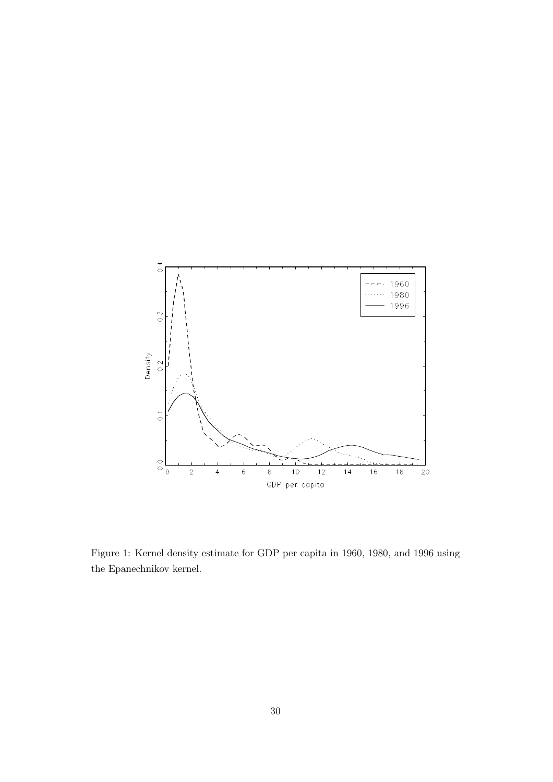

Figure 1: Kernel density estimate for GDP per capita in 1960, 1980, and 1996 using the Epanechnikov kernel.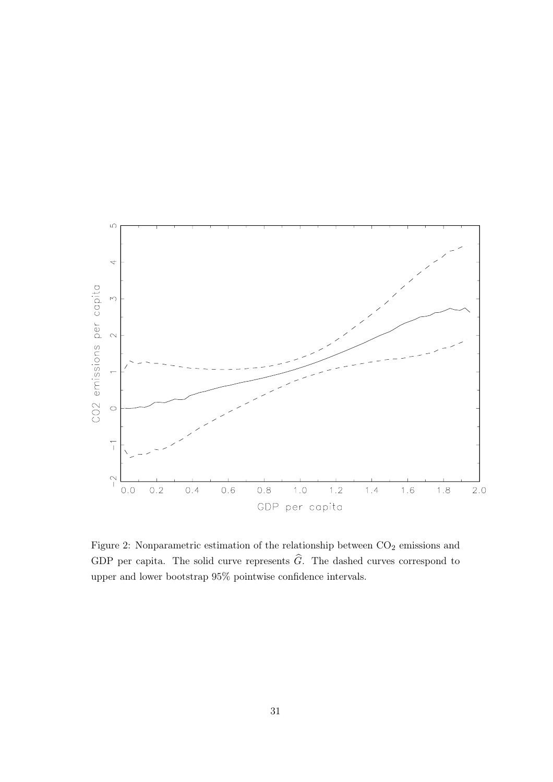

Figure 2: Nonparametric estimation of the relationship between  $CO<sub>2</sub>$  emissions and GDP per capita. The solid curve represents  $\widehat{G}$ . The dashed curves correspond to upper and lower bootstrap 95% pointwise confidence intervals.